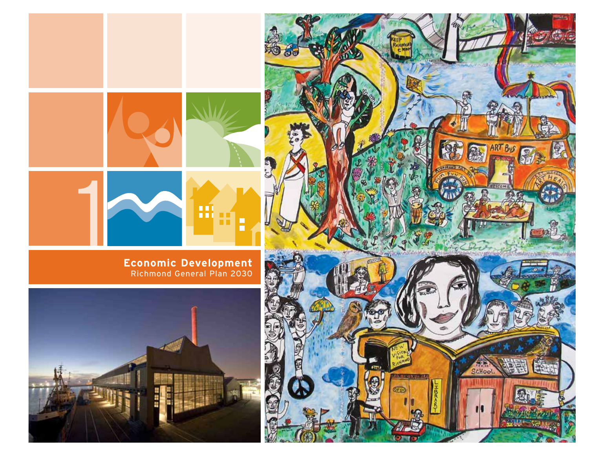

Richmond General Plan 2030



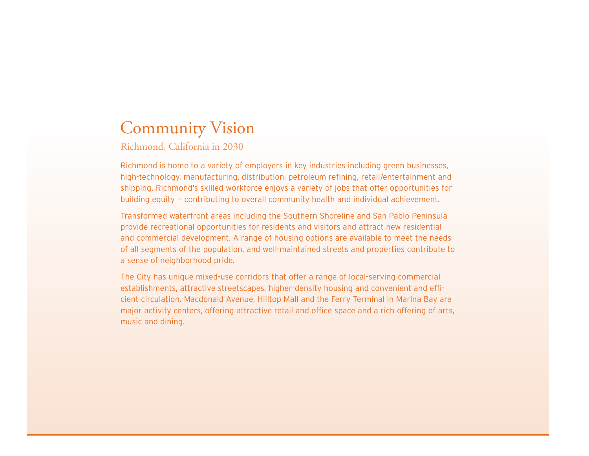# Community Vision

Richmond, California in 2030

Richmond is home to a variety of employers in key industries including green businesses, high-technology, manufacturing, distribution, petroleum refining, retail/entertainment and shipping. Richmond's skilled workforce enjoys a variety of jobs that offer opportunities for building equity — contributing to overall community health and individual achievement.

Transformed waterfront areas including the Southern Shoreline and San Pablo Peninsula provide recreational opportunities for residents and visitors and attract new residential and commercial development. A range of housing options are available to meet the needs of all segments of the population, and well-maintained streets and properties contribute to a sense of neighborhood pride.

The City has unique mixed-use corridors that offer a range of local-serving commercial establishments, attractive streetscapes, higher-density housing and convenient and efficient circulation. Macdonald Avenue, Hilltop Mall and the Ferry Terminal in Marina Bay are major activity centers, offering attractive retail and office space and a rich offering of arts, music and dining.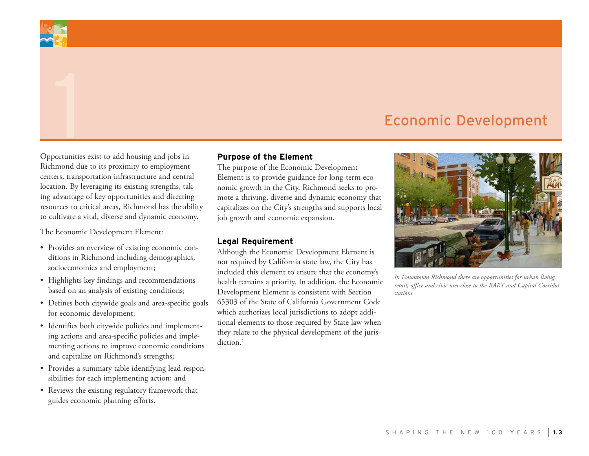# Economic Development

Opportunities exist to add housing and jobs in Richmond due to its proximity to employment centers, transportation infrastructure and central location. By leveraging its existing strengths, taking advantage of key opportunities and directing resources to critical areas, Richmond has the ability to cultivate a vital, diverse and dynamic economy.

The Economic Development Element:

- Provides an overview of existing economic conditions in Richmond including demographics, socioeconomics and employment;
- • Highlights key findings and recommendations based on an analysis of existing conditions;
- Defines both citywide goals and area-specific goals for economic development;
- • Identifies both citywide policies and implementing actions and area-specific policies and implementing actions to improve economic conditions and capitalize on Richmond's strengths;
- • Provides a summary table identifying lead responsibilities for each implementing action; and
- • Reviews the existing regulatory framework that guides economic planning efforts.

#### **Purpose of the Element**

The purpose of the Economic Development Element is to provide guidance for long-term economic growth in the City. Richmond seeks to promote a thriving, diverse and dynamic economy that capitalizes on the City's strengths and supports local job growth and economic expansion.

#### **Legal Requirement**

Although the Economic Development Element is not required by California state law, the City has included this element to ensure that the economy's health remains a priority. In addition, the Economic Development Element is consistent with Section 65303 of the State of California Government Code which authorizes local jurisdictions to adopt additional elements to those required by State law when they relate to the physical development of the jurisdiction.<sup>1</sup>



*In Downtown Richmond there are opportunities for urban living, retail, office and civic uses close to the BART and Capital Corridor stations.*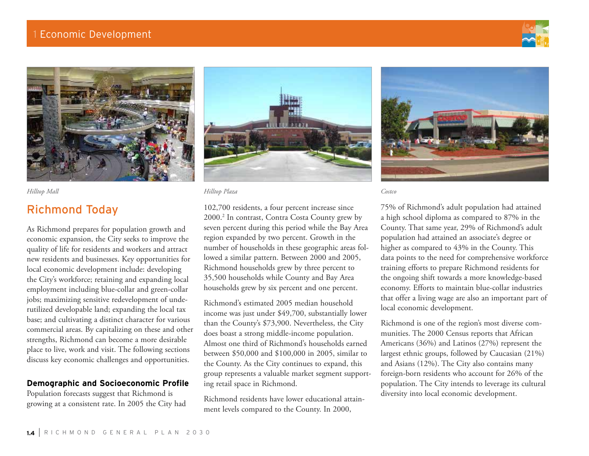



# Richmond Today

As Richmond prepares for population growth and economic expansion, the City seeks to improve the quality of life for residents and workers and attract new residents and businesses. Key opportunities for local economic development include: developing the City's workforce; retaining and expanding local employment including blue-collar and green-collar jobs; maximizing sensitive redevelopment of underutilized developable land; expanding the local tax base; and cultivating a distinct character for various commercial areas. By capitalizing on these and other strengths, Richmond can become a more desirable place to live, work and visit. The following sections discuss key economic challenges and opportunities.

# **Demographic and Socioeconomic Profile**

Population forecasts suggest that Richmond is growing at a consistent rate. In 2005 the City had



*Hilltop Mall Hilltop Plaza Costco*

102,700 residents, a four percent increase since 2000.2 In contrast, Contra Costa County grew by seven percent during this period while the Bay Area region expanded by two percent. Growth in the number of households in these geographic areas followed a similar pattern. Between 2000 and 2005, Richmond households grew by three percent to 35,500 households while County and Bay Area households grew by six percent and one percent.

Richmond's estimated 2005 median household income was just under \$49,700, substantially lower than the County's \$73,900. Nevertheless, the City does boast a strong middle-income population. Almost one third of Richmond's households earned between \$50,000 and \$100,000 in 2005, similar to the County. As the City continues to expand, this group represents a valuable market segment supporting retail space in Richmond.

Richmond residents have lower educational attainment levels compared to the County. In 2000,



75% of Richmond's adult population had attained a high school diploma as compared to 87% in the County. That same year, 29% of Richmond's adult population had attained an associate's degree or higher as compared to 43% in the County. This data points to the need for comprehensive workforce training efforts to prepare Richmond residents for the ongoing shift towards a more knowledge-based economy. Efforts to maintain blue-collar industries that offer a living wage are also an important part of local economic development.

Richmond is one of the region's most diverse communities. The 2000 Census reports that African Americans (36%) and Latinos (27%) represent the largest ethnic groups, followed by Caucasian (21%) and Asians (12%). The City also contains many foreign-born residents who account for 26% of the population. The City intends to leverage its cultural diversity into local economic development.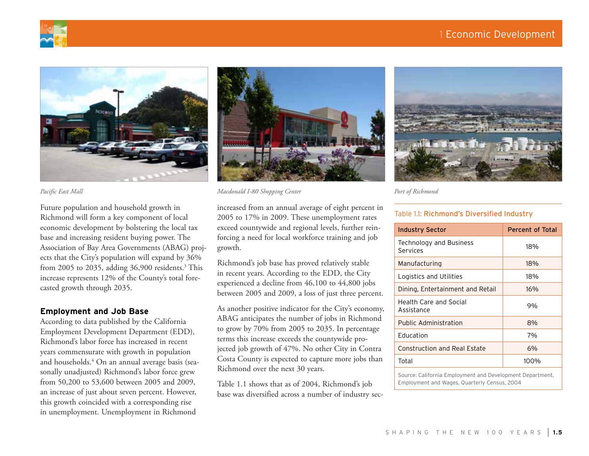# 1 Economic Development







Future population and household growth in Richmond will form a key component of local economic development by bolstering the local tax base and increasing resident buying power. The Association of Bay Area Governments (ABAG) projects that the City's population will expand by 36% from 2005 to 2035, adding 36,900 residents.3 This increase represents 12% of the County's total forecasted growth through 2035.

# **Employment and Job Base**

According to data published by the California Employment Development Department (EDD), Richmond's labor force has increased in recent years commensurate with growth in population and households.4 On an annual average basis (seasonally unadjusted) Richmond's labor force grew from 50,200 to 53,600 between 2005 and 2009, an increase of just about seven percent. However, this growth coincided with a corresponding rise in unemployment. Unemployment in Richmond

*Pacific East Mall Macdonald I-80 Shopping Center Port of Richmond*

increased from an annual average of eight percent in 2005 to 17% in 2009. These unemployment rates exceed countywide and regional levels, further reinforcing a need for local workforce training and job growth.

Richmond's job base has proved relatively stable in recent years. According to the EDD, the City experienced a decline from 46,100 to 44,800 jobs between 2005 and 2009, a loss of just three percent.

As another positive indicator for the City's economy, ABAG anticipates the number of jobs in Richmond to grow by 70% from 2005 to 2035. In percentage terms this increase exceeds the countywide projected job growth of 47%. No other City in Contra Costa County is expected to capture more jobs than Richmond over the next 30 years.

Table 1.1 shows that as of 2004, Richmond's job base was diversified across a number of industry sec-



#### Table 1.1: Richmond's Diversified Industry

| <b>Industry Sector</b>               | <b>Percent of Total</b> |
|--------------------------------------|-------------------------|
| Technology and Business<br>Services  | 18%                     |
| Manufacturing                        | 18%                     |
| Logistics and Utilities              | 18%                     |
| Dining, Entertainment and Retail     | 16%                     |
| Health Care and Social<br>Assistance | 9%                      |
| <b>Public Administration</b>         | 8%                      |
| <b>Education</b>                     | 7%                      |
| <b>Construction and Real Estate</b>  | 6%                      |
| Total                                | 100%                    |
|                                      |                         |

Source: California Employment and Development Department, Employment and Wages, Quarterly Census, 2004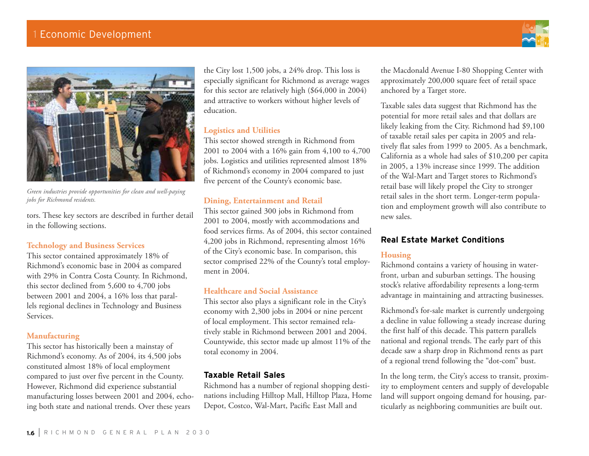

*Green industries provide opportunities for clean and well-paying jobs for Richmond residents.*

tors. These key sectors are described in further detail in the following sections.

## **Technology and Business Services**

This sector contained approximately 18% of Richmond's economic base in 2004 as compared with 29% in Contra Costa County. In Richmond, this sector declined from 5,600 to 4,700 jobs between 2001 and 2004, a 16% loss that parallels regional declines in Technology and Business Services.

## **Manufacturing**

This sector has historically been a mainstay of Richmond's economy. As of 2004, its 4,500 jobs constituted almost 18% of local employment compared to just over five percent in the County. However, Richmond did experience substantial manufacturing losses between 2001 and 2004, echoing both state and national trends. Over these years

the City lost 1,500 jobs, a 24% drop. This loss is especially significant for Richmond as average wages for this sector are relatively high (\$64,000 in 2004) and attractive to workers without higher levels of education.

# **Logistics and Utilities**

This sector showed strength in Richmond from 2001 to 2004 with a 16% gain from 4,100 to 4,700 jobs. Logistics and utilities represented almost 18% of Richmond's economy in 2004 compared to just five percent of the County's economic base.

# **Dining, Entertainment and Retail**

This sector gained 300 jobs in Richmond from 2001 to 2004, mostly with accommodations and food services firms. As of 2004, this sector contained 4,200 jobs in Richmond, representing almost 16% of the City's economic base. In comparison, this sector comprised 22% of the County's total employment in 2004.

## **Healthcare and Social Assistance**

This sector also plays a significant role in the City's economy with 2,300 jobs in 2004 or nine percent of local employment. This sector remained relatively stable in Richmond between 2001 and 2004. Countywide, this sector made up almost 11% of the total economy in 2004.

# **Taxable Retail Sales**

Richmond has a number of regional shopping destinations including Hilltop Mall, Hilltop Plaza, Home Depot, Costco, Wal-Mart, Pacific East Mall and

the Macdonald Avenue I-80 Shopping Center with approximately 200,000 square feet of retail space anchored by a Target store.

Taxable sales data suggest that Richmond has the potential for more retail sales and that dollars are likely leaking from the City. Richmond had \$9,100 of taxable retail sales per capita in 2005 and relatively flat sales from 1999 to 2005. As a benchmark, California as a whole had sales of \$10,200 per capita in 2005, a 13% increase since 1999. The addition of the Wal-Mart and Target stores to Richmond's retail base will likely propel the City to stronger retail sales in the short term. Longer-term population and employment growth will also contribute to new sales.

# **Real Estate Market Conditions**

# **Housing**

Richmond contains a variety of housing in waterfront, urban and suburban settings. The housing stock's relative affordability represents a long-term advantage in maintaining and attracting businesses.

Richmond's for-sale market is currently undergoing a decline in value following a steady increase during the first half of this decade. This pattern parallels national and regional trends. The early part of this decade saw a sharp drop in Richmond rents as part of a regional trend following the "dot-com" bust.

In the long term, the City's access to transit, proximity to employment centers and supply of developable land will support ongoing demand for housing, particularly as neighboring communities are built out.

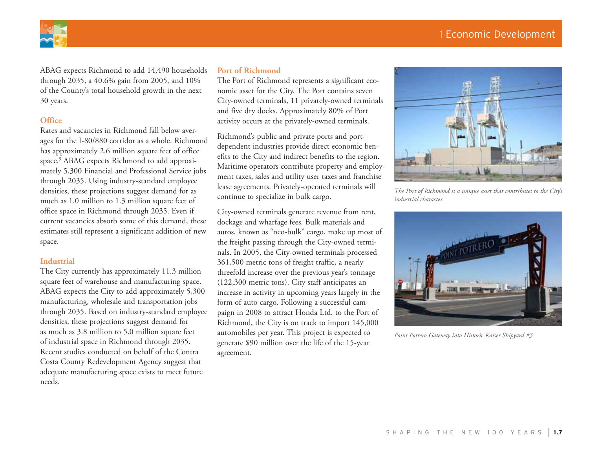# 1 Economic Development



ABAG expects Richmond to add 14,490 households through 2035, a 40.6% gain from 2005, and 10% of the County's total household growth in the next 30 years.

# **Office**

Rates and vacancies in Richmond fall below averages for the I-80/880 corridor as a whole. Richmond has approximately 2.6 million square feet of office space.5 ABAG expects Richmond to add approximately 5,300 Financial and Professional Service jobs through 2035. Using industry-standard employee densities, these projections suggest demand for as much as 1.0 million to 1.3 million square feet of office space in Richmond through 2035. Even if current vacancies absorb some of this demand, these estimates still represent a significant addition of new space.

#### **Industrial**

The City currently has approximately 11.3 million square feet of warehouse and manufacturing space. ABAG expects the City to add approximately 5,300 manufacturing, wholesale and transportation jobs through 2035. Based on industry-standard employee densities, these projections suggest demand for as much as 3.8 million to 5.0 million square feet of industrial space in Richmond through 2035. Recent studies conducted on behalf of the Contra Costa County Redevelopment Agency suggest that adequate manufacturing space exists to meet future needs.

#### **Port of Richmond**

The Port of Richmond represents a significant economic asset for the City. The Port contains seven City-owned terminals, 11 privately-owned terminals and five dry docks. Approximately 80% of Port activity occurs at the privately-owned terminals.

Richmond's public and private ports and portdependent industries provide direct economic benefits to the City and indirect benefits to the region. Maritime operators contribute property and employment taxes, sales and utility user taxes and franchise lease agreements. Privately-operated terminals will continue to specialize in bulk cargo.

City-owned terminals generate revenue from rent, dockage and wharfage fees. Bulk materials and autos, known as "neo-bulk" cargo, make up most of the freight passing through the City-owned terminals. In 2005, the City-owned terminals processed 361,500 metric tons of freight traffic, a nearly threefold increase over the previous year's tonnage (122,300 metric tons). City staff anticipates an increase in activity in upcoming years largely in the form of auto cargo. Following a successful campaign in 2008 to attract Honda Ltd. to the Port of Richmond, the City is on track to import 145,000 automobiles per year. This project is expected to generate \$90 million over the life of the 15-year agreement.



*The Port of Richmond is a unique asset that contributes to the City's industrial character.*



*Point Potrero Gateway into Historic Kaiser Shipyard #3*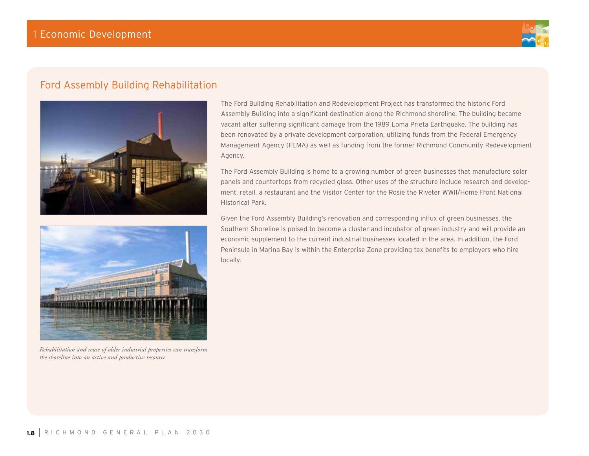

# Ford Assembly Building Rehabilitation





*Rehabilitation and reuse of older industrial properties can transform the shoreline into an active and productive resource.*

The Ford Building Rehabilitation and Redevelopment Project has transformed the historic Ford Assembly Building into a significant destination along the Richmond shoreline. The building became vacant after suffering significant damage from the 1989 Loma Prieta Earthquake. The building has been renovated by a private development corporation, utilizing funds from the Federal Emergency Management Agency (FEMA) as well as funding from the former Richmond Community Redevelopment Agency.

The Ford Assembly Building is home to a growing number of green businesses that manufacture solar panels and countertops from recycled glass. Other uses of the structure include research and development, retail, a restaurant and the Visitor Center for the Rosie the Riveter WWII/Home Front National Historical Park.

Given the Ford Assembly Building's renovation and corresponding influx of green businesses, the Southern Shoreline is poised to become a cluster and incubator of green industry and will provide an economic supplement to the current industrial businesses located in the area. In addition, the Ford Peninsula in Marina Bay is within the Enterprise Zone providing tax benefits to employers who hire locally.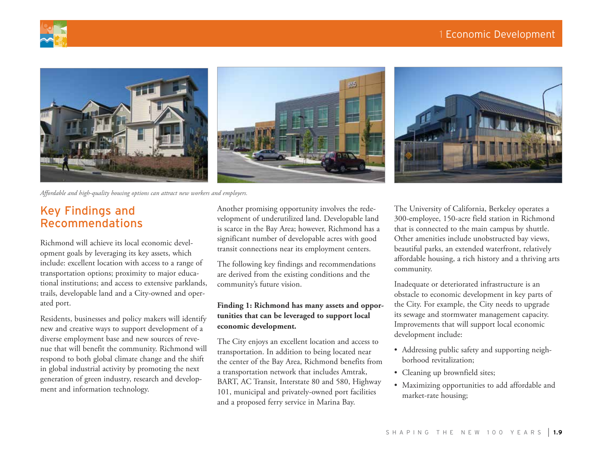





*Affordable and high-quality housing options can attract new workers and employers.*

# Key Findings and Recommendations

Richmond will achieve its local economic development goals by leveraging its key assets, which include: excellent location with access to a range of transportation options; proximity to major educational institutions; and access to extensive parklands, trails, developable land and a City-owned and operated port.

Residents, businesses and policy makers will identify new and creative ways to support development of a diverse employment base and new sources of revenue that will benefit the community. Richmond will respond to both global climate change and the shift in global industrial activity by promoting the next generation of green industry, research and development and information technology.

Another promising opportunity involves the redevelopment of underutilized land. Developable land is scarce in the Bay Area; however, Richmond has a significant number of developable acres with good transit connections near its employment centers.

The following key findings and recommendations are derived from the existing conditions and the community's future vision.

# **Finding 1: Richmond has many assets and opportunities that can be leveraged to support local economic development.**

The City enjoys an excellent location and access to transportation. In addition to being located near the center of the Bay Area, Richmond benefits from a transportation network that includes Amtrak, BART, AC Transit, Interstate 80 and 580, Highway 101, municipal and privately-owned port facilities and a proposed ferry service in Marina Bay.

The University of California, Berkeley operates a 300-employee, 150-acre field station in Richmond that is connected to the main campus by shuttle. Other amenities include unobstructed bay views, beautiful parks, an extended waterfront, relatively affordable housing, a rich history and a thriving arts community.

Inadequate or deteriorated infrastructure is an obstacle to economic development in key parts of the City. For example, the City needs to upgrade its sewage and stormwater management capacity. Improvements that will support local economic development include:

- Addressing public safety and supporting neighborhood revitalization;
- Cleaning up brownfield sites;
- • Maximizing opportunities to add affordable and market-rate housing;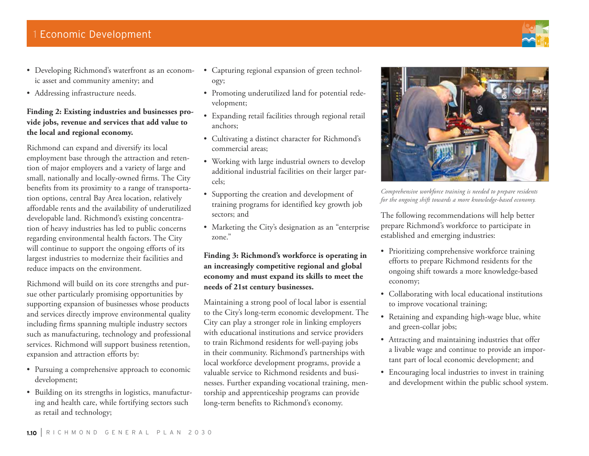- • Developing Richmond's waterfront as an economic asset and community amenity; and
- Addressing infrastructure needs.

# **Finding 2: Existing industries and businesses provide jobs, revenue and services that add value to the local and regional economy.**

Richmond can expand and diversify its local employment base through the attraction and retention of major employers and a variety of large and small, nationally and locally-owned firms. The City benefits from its proximity to a range of transportation options, central Bay Area location, relatively affordable rents and the availability of underutilized developable land. Richmond's existing concentration of heavy industries has led to public concerns regarding environmental health factors. The City will continue to support the ongoing efforts of its largest industries to modernize their facilities and reduce impacts on the environment.

Richmond will build on its core strengths and pursue other particularly promising opportunities by supporting expansion of businesses whose products and services directly improve environmental quality including firms spanning multiple industry sectors such as manufacturing, technology and professional services. Richmond will support business retention, expansion and attraction efforts by:

- Pursuing a comprehensive approach to economic development;
- • Building on its strengths in logistics, manufacturing and health care, while fortifying sectors such as retail and technology;
- • Capturing regional expansion of green technology;
- • Promoting underutilized land for potential redevelopment;
- • Expanding retail facilities through regional retail anchors;
- • Cultivating a distinct character for Richmond's commercial areas;
- • Working with large industrial owners to develop additional industrial facilities on their larger parcels;
- • Supporting the creation and development of training programs for identified key growth job sectors; and
- Marketing the City's designation as an "enterprise" zone."

**Finding 3: Richmond's workforce is operating in an increasingly competitive regional and global economy and must expand its skills to meet the needs of 21st century businesses.** 

Maintaining a strong pool of local labor is essential to the City's long-term economic development. The City can play a stronger role in linking employers with educational institutions and service providers to train Richmond residents for well-paying jobs in their community. Richmond's partnerships with local workforce development programs, provide a valuable service to Richmond residents and businesses. Further expanding vocational training, mentorship and apprenticeship programs can provide long-term benefits to Richmond's economy.



*Comprehensive workforce training is needed to prepare residents for the ongoing shift towards a more knowledge-based economy.*

The following recommendations will help better prepare Richmond's workforce to participate in established and emerging industries:

- Prioritizing comprehensive workforce training efforts to prepare Richmond residents for the ongoing shift towards a more knowledge-based economy;
- • Collaborating with local educational institutions to improve vocational training;
- Retaining and expanding high-wage blue, white and green-collar jobs;
- Attracting and maintaining industries that offer a livable wage and continue to provide an important part of local economic development; and
- Encouraging local industries to invest in training and development within the public school system.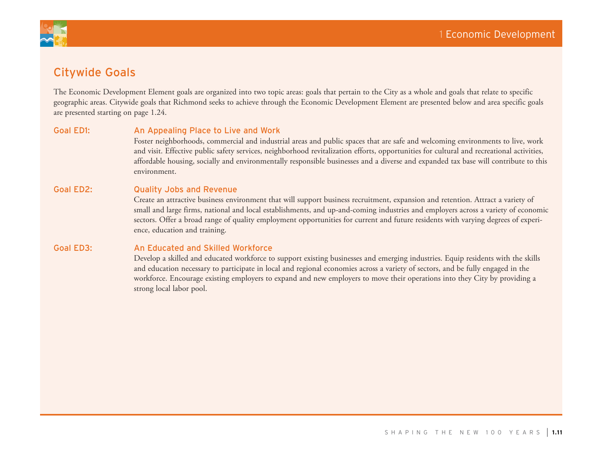

# Citywide Goals

The Economic Development Element goals are organized into two topic areas: goals that pertain to the City as a whole and goals that relate to specific geographic areas. Citywide goals that Richmond seeks to achieve through the Economic Development Element are presented below and area specific goals are presented starting on page 1.24.

## Goal ED1: An Appealing Place to Live and Work

Foster neighborhoods, commercial and industrial areas and public spaces that are safe and welcoming environments to live, work and visit. Effective public safety services, neighborhood revitalization efforts, opportunities for cultural and recreational activities, affordable housing, socially and environmentally responsible businesses and a diverse and expanded tax base will contribute to this environment.

#### Goal ED2: Quality Jobs and Revenue

Create an attractive business environment that will support business recruitment, expansion and retention. Attract a variety of small and large firms, national and local establishments, and up-and-coming industries and employers across a variety of economic sectors. Offer a broad range of quality employment opportunities for current and future residents with varying degrees of experience, education and training.

#### Goal ED3: An Educated and Skilled Workforce

Develop a skilled and educated workforce to support existing businesses and emerging industries. Equip residents with the skills and education necessary to participate in local and regional economies across a variety of sectors, and be fully engaged in the workforce. Encourage existing employers to expand and new employers to move their operations into they City by providing a strong local labor pool.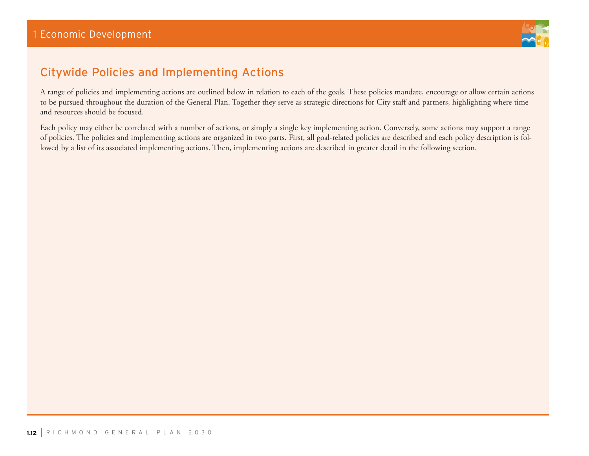

# Citywide Policies and Implementing Actions

A range of policies and implementing actions are outlined below in relation to each of the goals. These policies mandate, encourage or allow certain actions to be pursued throughout the duration of the General Plan. Together they serve as strategic directions for City staff and partners, highlighting where time and resources should be focused.

Each policy may either be correlated with a number of actions, or simply a single key implementing action. Conversely, some actions may support a range of policies. The policies and implementing actions are organized in two parts. First, all goal-related policies are described and each policy description is followed by a list of its associated implementing actions. Then, implementing actions are described in greater detail in the following section.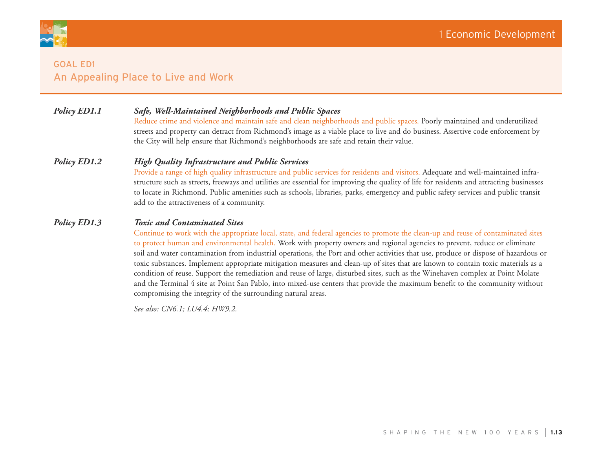

# *Policy ED1.1 Safe, Well-Maintained Neighborhoods and Public Spaces*

Reduce crime and violence and maintain safe and clean neighborhoods and public spaces. Poorly maintained and underutilized streets and property can detract from Richmond's image as a viable place to live and do business. Assertive code enforcement by the City will help ensure that Richmond's neighborhoods are safe and retain their value.

#### *Policy ED1.2 High Quality Infrastructure and Public Services*

Provide a range of high quality infrastructure and public services for residents and visitors. Adequate and well-maintained infrastructure such as streets, freeways and utilities are essential for improving the quality of life for residents and attracting businesses to locate in Richmond. Public amenities such as schools, libraries, parks, emergency and public safety services and public transit add to the attractiveness of a community.

#### *Policy ED1.3 Toxic and Contaminated Sites*

Continue to work with the appropriate local, state, and federal agencies to promote the clean-up and reuse of contaminated sites to protect human and environmental health. Work with property owners and regional agencies to prevent, reduce or eliminate soil and water contamination from industrial operations, the Port and other activities that use, produce or dispose of hazardous or toxic substances. Implement appropriate mitigation measures and clean-up of sites that are known to contain toxic materials as a condition of reuse. Support the remediation and reuse of large, disturbed sites, such as the Winehaven complex at Point Molate and the Terminal 4 site at Point San Pablo, into mixed-use centers that provide the maximum benefit to the community without compromising the integrity of the surrounding natural areas.

*See also: CN6.1; LU4.4; HW9.2.*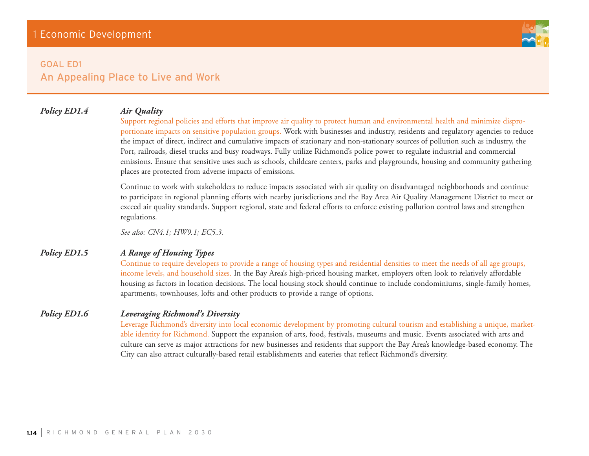

# *Policy ED1.4 Air Quality*

Support regional policies and efforts that improve air quality to protect human and environmental health and minimize disproportionate impacts on sensitive population groups. Work with businesses and industry, residents and regulatory agencies to reduce the impact of direct, indirect and cumulative impacts of stationary and non-stationary sources of pollution such as industry, the Port, railroads, diesel trucks and busy roadways. Fully utilize Richmond's police power to regulate industrial and commercial

emissions. Ensure that sensitive uses such as schools, childcare centers, parks and playgrounds, housing and community gathering places are protected from adverse impacts of emissions.

Continue to work with stakeholders to reduce impacts associated with air quality on disadvantaged neighborhoods and continue to participate in regional planning efforts with nearby jurisdictions and the Bay Area Air Quality Management District to meet or exceed air quality standards. Support regional, state and federal efforts to enforce existing pollution control laws and strengthen regulations.

*See also: CN4.1; HW9.1; EC5.3.*

# *Policy ED1.5 A Range of Housing Types*

Continue to require developers to provide a range of housing types and residential densities to meet the needs of all age groups, income levels, and household sizes. In the Bay Area's high-priced housing market, employers often look to relatively affordable housing as factors in location decisions. The local housing stock should continue to include condominiums, single-family homes, apartments, townhouses, lofts and other products to provide a range of options.

# *Policy ED1.6 Leveraging Richmond's Diversity*

Leverage Richmond's diversity into local economic development by promoting cultural tourism and establishing a unique, marketable identity for Richmond. Support the expansion of arts, food, festivals, museums and music. Events associated with arts and culture can serve as major attractions for new businesses and residents that support the Bay Area's knowledge-based economy. The City can also attract culturally-based retail establishments and eateries that reflect Richmond's diversity.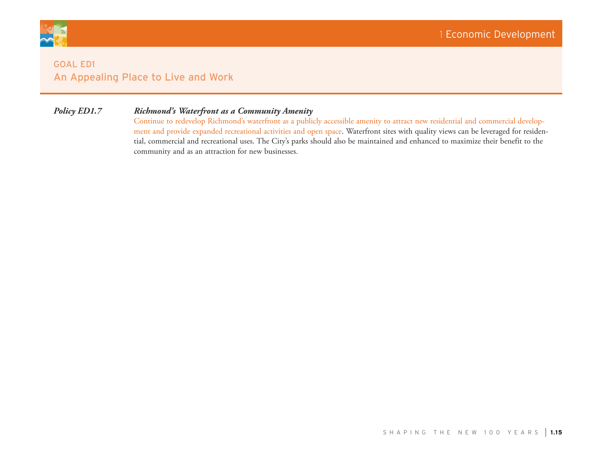

# *Policy ED1.7 Richmond's Waterfront as a Community Amenity*

Continue to redevelop Richmond's waterfront as a publicly accessible amenity to attract new residential and commercial development and provide expanded recreational activities and open space. Waterfront sites with quality views can be leveraged for residential, commercial and recreational uses. The City's parks should also be maintained and enhanced to maximize their benefit to the community and as an attraction for new businesses.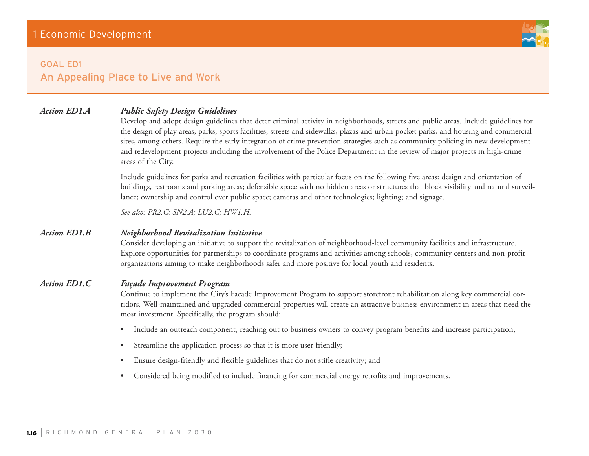

# *Action ED1.A Public Safety Design Guidelines*

Develop and adopt design guidelines that deter criminal activity in neighborhoods, streets and public areas. Include guidelines for the design of play areas, parks, sports facilities, streets and sidewalks, plazas and urban pocket parks, and housing and commercial sites, among others. Require the early integration of crime prevention strategies such as community policing in new development and redevelopment projects including the involvement of the Police Department in the review of major projects in high-crime areas of the City.

Include guidelines for parks and recreation facilities with particular focus on the following five areas: design and orientation of buildings, restrooms and parking areas; defensible space with no hidden areas or structures that block visibility and natural surveillance; ownership and control over public space; cameras and other technologies; lighting; and signage.

*See also: PR2.C; SN2.A; LU2.C; HW1.H.*

# *Action ED1.B Neighborhood Revitalization Initiative*

Consider developing an initiative to support the revitalization of neighborhood-level community facilities and infrastructure. Explore opportunities for partnerships to coordinate programs and activities among schools, community centers and non-profit organizations aiming to make neighborhoods safer and more positive for local youth and residents.

# *Action ED1.C Façade Improvement Program*

Continue to implement the City's Facade Improvement Program to support storefront rehabilitation along key commercial corridors. Well-maintained and upgraded commercial properties will create an attractive business environment in areas that need the most investment. Specifically, the program should:

- Include an outreach component, reaching out to business owners to convey program benefits and increase participation;
- Streamline the application process so that it is more user-friendly;
- Ensure design-friendly and flexible guidelines that do not stifle creativity; and
- Considered being modified to include financing for commercial energy retrofits and improvements.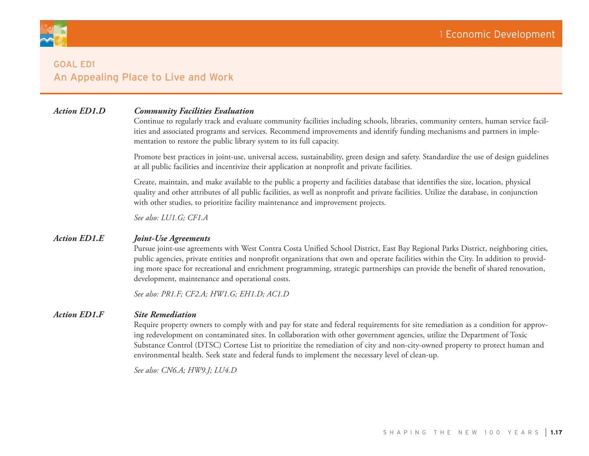

# *Action ED1.D Community Facilities Evaluation*

Continue to regularly track and evaluate community facilities including schools, libraries, community centers, human service facilities and associated programs and services. Recommend improvements and identify funding mechanisms and partners in implementation to restore the public library system to its full capacity.

Promote best practices in joint-use, universal access, sustainability, green design and safety. Standardize the use of design guidelines at all public facilities and incentivize their application at nonprofit and private facilities.

Create, maintain, and make available to the public a property and facilities database that identifies the size, location, physical quality and other attributes of all public facilities, as well as nonprofit and private facilities. Utilize the database, in conjunction with other studies, to prioritize facility maintenance and improvement projects.

*See also: LU1.G; CF1.A*

#### *Action ED1.E Joint-Use Agreements*

Pursue joint-use agreements with West Contra Costa Unified School District, East Bay Regional Parks District, neighboring cities, public agencies, private entities and nonprofit organizations that own and operate facilities within the City. In addition to providing more space for recreational and enrichment programming, strategic partnerships can provide the benefit of shared renovation, development, maintenance and operational costs.

*See also: PR1.F; CF2.A; HW1.G; EH1.D; AC1.D*

#### *Action ED1.F Site Remediation*

Require property owners to comply with and pay for state and federal requirements for site remediation as a condition for approving redevelopment on contaminated sites. In collaboration with other government agencies, utilize the Department of Toxic Substance Control (DTSC) Cortese List to prioritize the remediation of city and non-city-owned property to protect human and environmental health. Seek state and federal funds to implement the necessary level of clean-up.

*See also: CN6.A; HW9.J; LU4.D*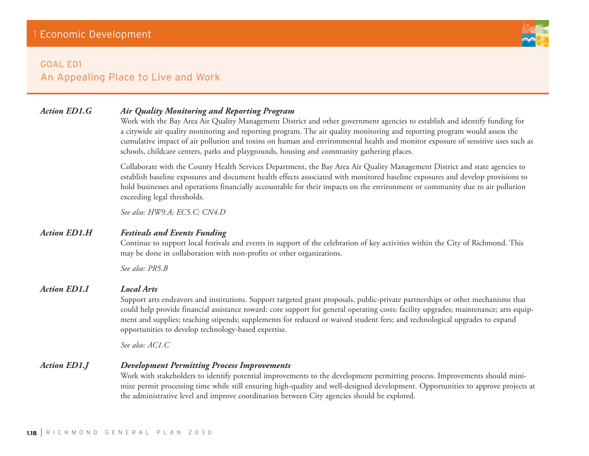

# *Action ED1.G Air Quality Monitoring and Reporting Program*

Work with the Bay Area Air Quality Management District and other government agencies to establish and identify funding for a citywide air quality monitoring and reporting program. The air quality monitoring and reporting program would assess the cumulative impact of air pollution and toxins on human and environmental health and monitor exposure of sensitive uses such as schools, childcare centers, parks and playgrounds, housing and community gathering places.

Collaborate with the County Health Services Department, the Bay Area Air Quality Management District and state agencies to establish baseline exposures and document health effects associated with monitored baseline exposures and develop provisions to hold businesses and operations financially accountable for their impacts on the environment or community due to air pollution exceeding legal thresholds.

*See also: HW9.A; EC5.C; CN4.D*

# *Action ED1.H Festivals and Events Funding*

Continue to support local festivals and events in support of the celebration of key activities within the City of Richmond. This may be done in collaboration with non-profits or other organizations.

*See also: PR5.B*

## *Action ED1.I Local Arts*

Support arts endeavors and institutions. Support targeted grant proposals, public-private partnerships or other mechanisms that could help provide financial assistance toward: core support for general operating costs; facility upgrades; maintenance; arts equipment and supplies; teaching stipends; supplements for reduced or waived student fees; and technological upgrades to expand opportunities to develop technology-based expertise.

*See also: AC1.C*

*Action ED1.J Development Permitting Process Improvements*

Work with stakeholders to identify potential improvements to the development permitting process. Improvements should minimize permit processing time while still ensuring high-quality and well-designed development. Opportunities to approve projects at the administrative level and improve coordination between City agencies should be explored.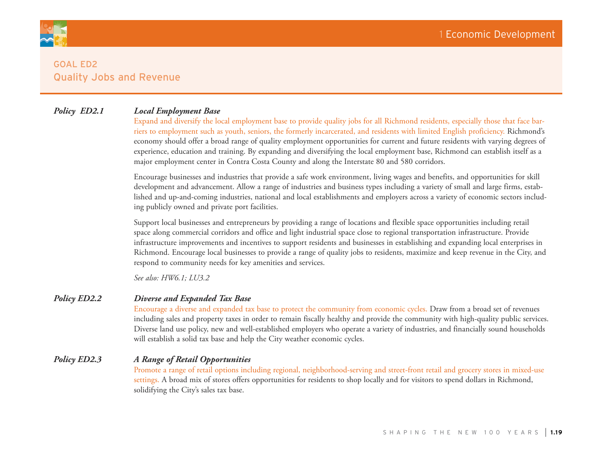

# *Policy ED2.1 Local Employment Base*

Expand and diversify the local employment base to provide quality jobs for all Richmond residents, especially those that face barriers to employment such as youth, seniors, the formerly incarcerated, and residents with limited English proficiency. Richmond's economy should offer a broad range of quality employment opportunities for current and future residents with varying degrees of experience, education and training. By expanding and diversifying the local employment base, Richmond can establish itself as a major employment center in Contra Costa County and along the Interstate 80 and 580 corridors.

Encourage businesses and industries that provide a safe work environment, living wages and benefits, and opportunities for skill development and advancement. Allow a range of industries and business types including a variety of small and large firms, established and up-and-coming industries, national and local establishments and employers across a variety of economic sectors including publicly owned and private port facilities.

Support local businesses and entrepreneurs by providing a range of locations and flexible space opportunities including retail space along commercial corridors and office and light industrial space close to regional transportation infrastructure. Provide infrastructure improvements and incentives to support residents and businesses in establishing and expanding local enterprises in Richmond. Encourage local businesses to provide a range of quality jobs to residents, maximize and keep revenue in the City, and respond to community needs for key amenities and services.

*See also: HW6.1; LU3.2*

## *Policy ED2.2 Diverse and Expanded Tax Base*

Encourage a diverse and expanded tax base to protect the community from economic cycles. Draw from a broad set of revenues including sales and property taxes in order to remain fiscally healthy and provide the community with high-quality public services. Diverse land use policy, new and well-established employers who operate a variety of industries, and financially sound households will establish a solid tax base and help the City weather economic cycles.

# *Policy ED2.3 A Range of Retail Opportunities*

Promote a range of retail options including regional, neighborhood-serving and street-front retail and grocery stores in mixed-use settings. A broad mix of stores offers opportunities for residents to shop locally and for visitors to spend dollars in Richmond, solidifying the City's sales tax base.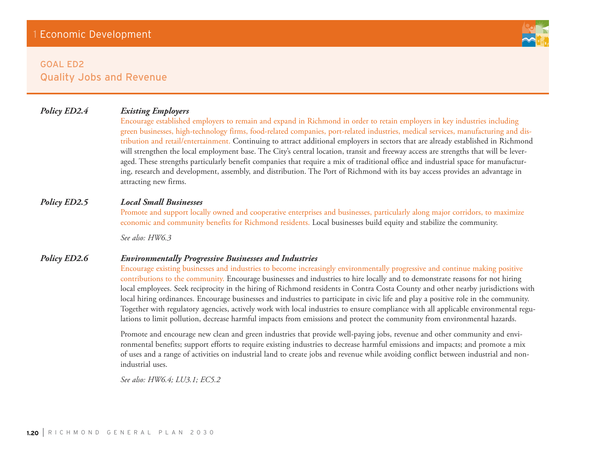# *Policy ED2.4 Existing Employers*

Encourage established employers to remain and expand in Richmond in order to retain employers in key industries including green businesses, high-technology firms, food-related companies, port-related industries, medical services, manufacturing and distribution and retail/entertainment. Continuing to attract additional employers in sectors that are already established in Richmond will strengthen the local employment base. The City's central location, transit and freeway access are strengths that will be leveraged. These strengths particularly benefit companies that require a mix of traditional office and industrial space for manufacturing, research and development, assembly, and distribution. The Port of Richmond with its bay access provides an advantage in attracting new firms.

# *Policy ED2.5 Local Small Businesses*

Promote and support locally owned and cooperative enterprises and businesses, particularly along major corridors, to maximize economic and community benefits for Richmond residents. Local businesses build equity and stabilize the community.

*See also: HW6.3*

## *Policy ED2.6 Environmentally Progressive Businesses and Industries*

Encourage existing businesses and industries to become increasingly environmentally progressive and continue making positive contributions to the community. Encourage businesses and industries to hire locally and to demonstrate reasons for not hiring local employees. Seek reciprocity in the hiring of Richmond residents in Contra Costa County and other nearby jurisdictions with local hiring ordinances. Encourage businesses and industries to participate in civic life and play a positive role in the community. Together with regulatory agencies, actively work with local industries to ensure compliance with all applicable environmental regulations to limit pollution, decrease harmful impacts from emissions and protect the community from environmental hazards.

Promote and encourage new clean and green industries that provide well-paying jobs, revenue and other community and environmental benefits; support efforts to require existing industries to decrease harmful emissions and impacts; and promote a mix of uses and a range of activities on industrial land to create jobs and revenue while avoiding conflict between industrial and nonindustrial uses.

*See also: HW6.4; LU3.1; EC5.2*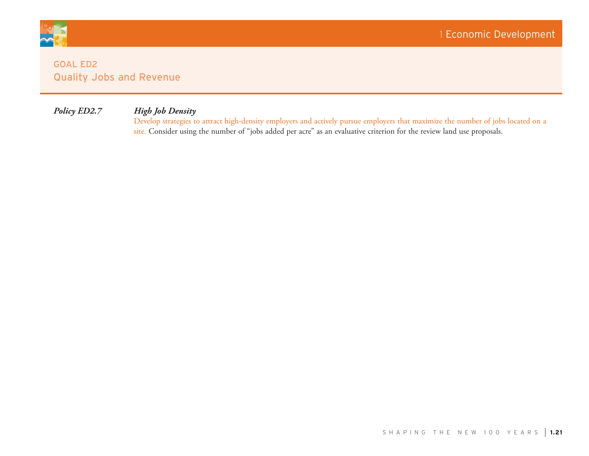

# *Policy ED2.7 High Job Density*

Develop strategies to attract high-density employers and actively pursue employers that maximize the number of jobs located on a site. Consider using the number of "jobs added per acre" as an evaluative criterion for the review land use proposals.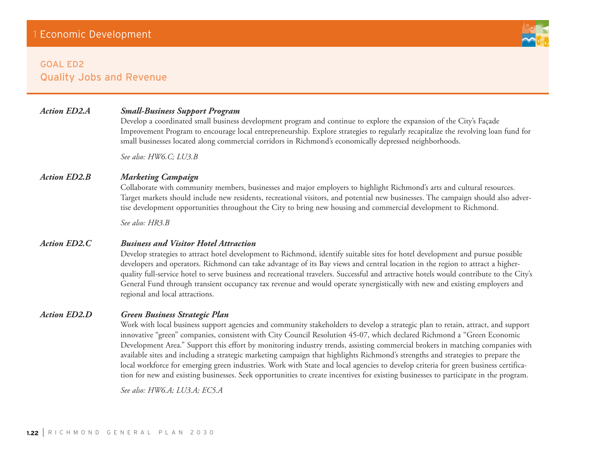# *Action ED2.A Small-Business Support Program*

Develop a coordinated small business development program and continue to explore the expansion of the City's Façade Improvement Program to encourage local entrepreneurship. Explore strategies to regularly recapitalize the revolving loan fund for small businesses located along commercial corridors in Richmond's economically depressed neighborhoods.

*See also: HW6.C; LU3.B*

# *Action ED2.B Marketing Campaign*

Collaborate with community members, businesses and major employers to highlight Richmond's arts and cultural resources. Target markets should include new residents, recreational visitors, and potential new businesses. The campaign should also advertise development opportunities throughout the City to bring new housing and commercial development to Richmond.

*See also: HR3.B*

#### *Action ED2.C Business and Visitor Hotel Attraction*

Develop strategies to attract hotel development to Richmond, identify suitable sites for hotel development and pursue possible developers and operators. Richmond can take advantage of its Bay views and central location in the region to attract a higherquality full-service hotel to serve business and recreational travelers. Successful and attractive hotels would contribute to the City's General Fund through transient occupancy tax revenue and would operate synergistically with new and existing employers and regional and local attractions.

## *Action ED2.D Green Business Strategic Plan*

Work with local business support agencies and community stakeholders to develop a strategic plan to retain, attract, and support innovative "green" companies, consistent with City Council Resolution 45-07, which declared Richmond a "Green Economic Development Area." Support this effort by monitoring industry trends, assisting commercial brokers in matching companies with available sites and including a strategic marketing campaign that highlights Richmond's strengths and strategies to prepare the local workforce for emerging green industries. Work with State and local agencies to develop criteria for green business certification for new and existing businesses. Seek opportunities to create incentives for existing businesses to participate in the program.

*See also: HW6.A; LU3.A; EC5.A* 

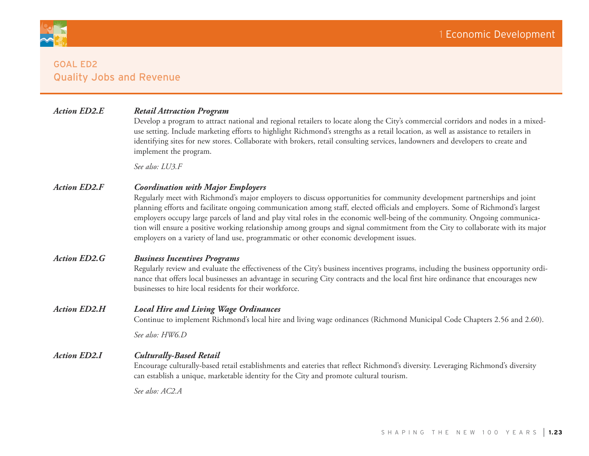

# *Action ED2.E Retail Attraction Program*

Develop a program to attract national and regional retailers to locate along the City's commercial corridors and nodes in a mixeduse setting. Include marketing efforts to highlight Richmond's strengths as a retail location, as well as assistance to retailers in identifying sites for new stores. Collaborate with brokers, retail consulting services, landowners and developers to create and implement the program.

*See also: LU3.F*

#### *Action ED2.F Coordination with Major Employers*

Regularly meet with Richmond's major employers to discuss opportunities for community development partnerships and joint planning efforts and facilitate ongoing communication among staff, elected officials and employers. Some of Richmond's largest employers occupy large parcels of land and play vital roles in the economic well-being of the community. Ongoing communication will ensure a positive working relationship among groups and signal commitment from the City to collaborate with its major employers on a variety of land use, programmatic or other economic development issues.

## *Action ED2.G Business Incentives Programs*

Regularly review and evaluate the effectiveness of the City's business incentives programs, including the business opportunity ordinance that offers local businesses an advantage in securing City contracts and the local first hire ordinance that encourages new businesses to hire local residents for their workforce.

#### *Action ED2.H Local Hire and Living Wage Ordinances*

Continue to implement Richmond's local hire and living wage ordinances (Richmond Municipal Code Chapters 2.56 and 2.60).

*See also: HW6.D*

#### *Action ED2.I Culturally-Based Retail*

Encourage culturally-based retail establishments and eateries that reflect Richmond's diversity. Leveraging Richmond's diversity can establish a unique, marketable identity for the City and promote cultural tourism.

*See also: AC2.A*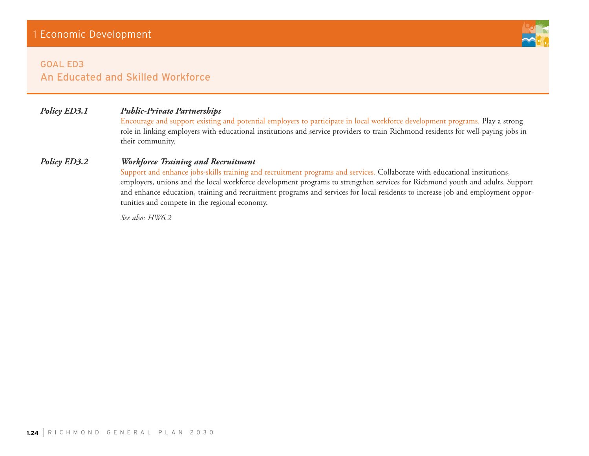

# Goal ED3 An Educated and Skilled Workforce

# *Policy ED3.1 Public-Private Partnerships*

Encourage and support existing and potential employers to participate in local workforce development programs. Play a strong role in linking employers with educational institutions and service providers to train Richmond residents for well-paying jobs in their community.

# *Policy ED3.2 Workforce Training and Recruitment*

Support and enhance jobs-skills training and recruitment programs and services. Collaborate with educational institutions, employers, unions and the local workforce development programs to strengthen services for Richmond youth and adults. Support and enhance education, training and recruitment programs and services for local residents to increase job and employment opportunities and compete in the regional economy.

*See also: HW6.2*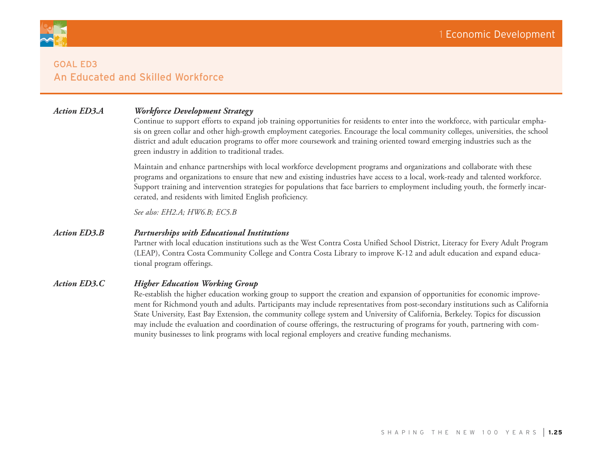

# Goal ED3 An Educated and Skilled Workforce

# *Action ED3.A Workforce Development Strategy*

Continue to support efforts to expand job training opportunities for residents to enter into the workforce, with particular emphasis on green collar and other high-growth employment categories. Encourage the local community colleges, universities, the school district and adult education programs to offer more coursework and training oriented toward emerging industries such as the green industry in addition to traditional trades.

Maintain and enhance partnerships with local workforce development programs and organizations and collaborate with these programs and organizations to ensure that new and existing industries have access to a local, work-ready and talented workforce. Support training and intervention strategies for populations that face barriers to employment including youth, the formerly incarcerated, and residents with limited English proficiency.

*See also: EH2.A; HW6.B; EC5.B*

# *Action ED3.B Partnerships with Educational Institutions*

Partner with local education institutions such as the West Contra Costa Unified School District, Literacy for Every Adult Program (LEAP), Contra Costa Community College and Contra Costa Library to improve K-12 and adult education and expand educational program offerings.

# *Action ED3.C Higher Education Working Group*

Re-establish the higher education working group to support the creation and expansion of opportunities for economic improvement for Richmond youth and adults. Participants may include representatives from post-secondary institutions such as California State University, East Bay Extension, the community college system and University of California, Berkeley. Topics for discussion may include the evaluation and coordination of course offerings, the restructuring of programs for youth, partnering with community businesses to link programs with local regional employers and creative funding mechanisms.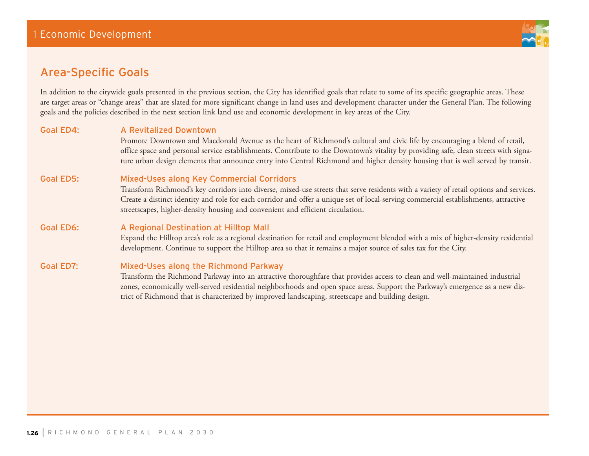

# Area-Specific Goals

In addition to the citywide goals presented in the previous section, the City has identified goals that relate to some of its specific geographic areas. These are target areas or "change areas" that are slated for more significant change in land uses and development character under the General Plan. The following goals and the policies described in the next section link land use and economic development in key areas of the City.

# Goal ED4: A Revitalized Downtown

Promote Downtown and Macdonald Avenue as the heart of Richmond's cultural and civic life by encouraging a blend of retail, office space and personal service establishments. Contribute to the Downtown's vitality by providing safe, clean streets with signature urban design elements that announce entry into Central Richmond and higher density housing that is well served by transit.

# Goal ED5: Mixed-Uses along Key Commercial Corridors

Transform Richmond's key corridors into diverse, mixed-use streets that serve residents with a variety of retail options and services. Create a distinct identity and role for each corridor and offer a unique set of local-serving commercial establishments, attractive streetscapes, higher-density housing and convenient and efficient circulation.

# Goal ED6: A Regional Destination at Hilltop Mall

Expand the Hilltop area's role as a regional destination for retail and employment blended with a mix of higher-density residential development. Continue to support the Hilltop area so that it remains a major source of sales tax for the City.

## Goal ED7: Mixed-Uses along the Richmond Parkway

Transform the Richmond Parkway into an attractive thoroughfare that provides access to clean and well-maintained industrial zones, economically well-served residential neighborhoods and open space areas. Support the Parkway's emergence as a new district of Richmond that is characterized by improved landscaping, streetscape and building design.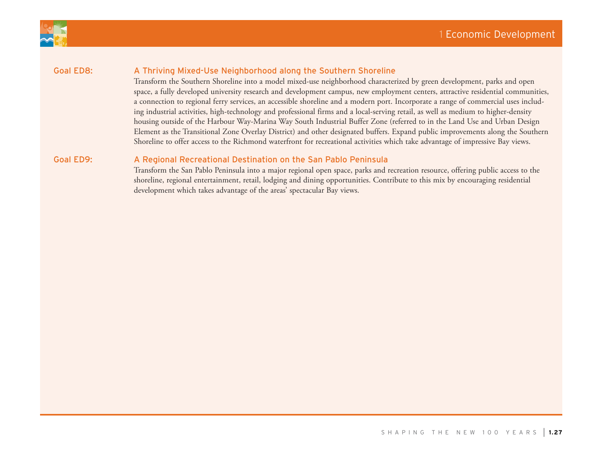



# Goal ED8: A Thriving Mixed-Use Neighborhood along the Southern Shoreline

Transform the Southern Shoreline into a model mixed-use neighborhood characterized by green development, parks and open space, a fully developed university research and development campus, new employment centers, attractive residential communities, a connection to regional ferry services, an accessible shoreline and a modern port. Incorporate a range of commercial uses including industrial activities, high-technology and professional firms and a local-serving retail, as well as medium to higher-density housing outside of the Harbour Way-Marina Way South Industrial Buffer Zone (referred to in the Land Use and Urban Design Element as the Transitional Zone Overlay District) and other designated buffers. Expand public improvements along the Southern Shoreline to offer access to the Richmond waterfront for recreational activities which take advantage of impressive Bay views.

# Goal ED9: A Regional Recreational Destination on the San Pablo Peninsula

Transform the San Pablo Peninsula into a major regional open space, parks and recreation resource, offering public access to the shoreline, regional entertainment, retail, lodging and dining opportunities. Contribute to this mix by encouraging residential development which takes advantage of the areas' spectacular Bay views.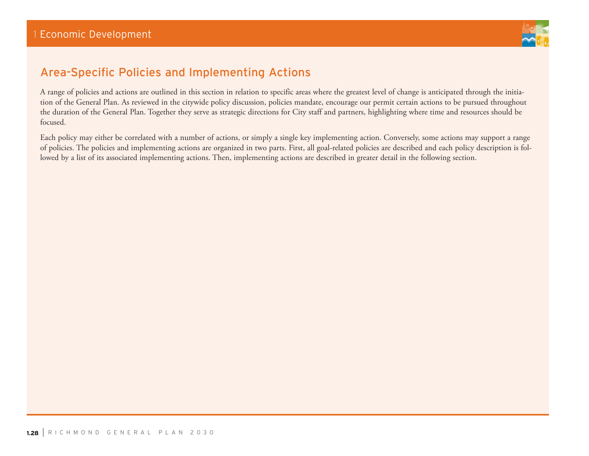

# Area-Specific Policies and Implementing Actions

A range of policies and actions are outlined in this section in relation to specific areas where the greatest level of change is anticipated through the initiation of the General Plan. As reviewed in the citywide policy discussion, policies mandate, encourage our permit certain actions to be pursued throughout the duration of the General Plan. Together they serve as strategic directions for City staff and partners, highlighting where time and resources should be focused.

Each policy may either be correlated with a number of actions, or simply a single key implementing action. Conversely, some actions may support a range of policies. The policies and implementing actions are organized in two parts. First, all goal-related policies are described and each policy description is followed by a list of its associated implementing actions. Then, implementing actions are described in greater detail in the following section.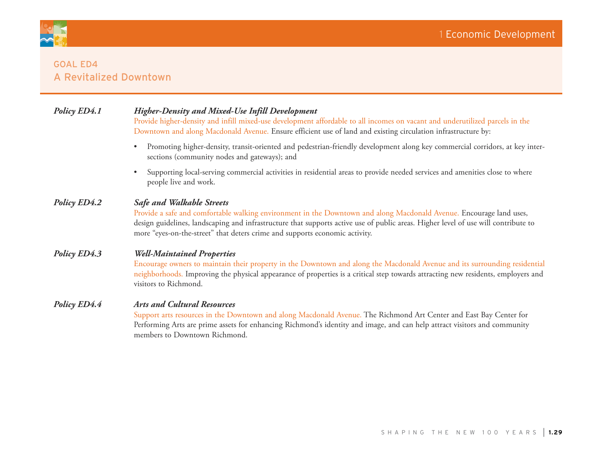

# **GOAL ED4** a Revitalized Downtown

# *Policy ED4.1 Higher-Density and Mixed-Use Infill Development*

Provide higher-density and infill mixed-use development affordable to all incomes on vacant and underutilized parcels in the Downtown and along Macdonald Avenue. Ensure efficient use of land and existing circulation infrastructure by:

- • Promoting higher-density, transit-oriented and pedestrian-friendly development along key commercial corridors, at key intersections (community nodes and gateways); and
- Supporting local-serving commercial activities in residential areas to provide needed services and amenities close to where people live and work.

# *Policy ED4.2 Safe and Walkable Streets*

Provide a safe and comfortable walking environment in the Downtown and along Macdonald Avenue. Encourage land uses, design guidelines, landscaping and infrastructure that supports active use of public areas. Higher level of use will contribute to more "eyes-on-the-street" that deters crime and supports economic activity.

# *Policy ED4.3 Well-Maintained Properties*

Encourage owners to maintain their property in the Downtown and along the Macdonald Avenue and its surrounding residential neighborhoods. Improving the physical appearance of properties is a critical step towards attracting new residents, employers and visitors to Richmond.

# *Policy ED4.4 Arts and Cultural Resources*

Support arts resources in the Downtown and along Macdonald Avenue. The Richmond Art Center and East Bay Center for Performing Arts are prime assets for enhancing Richmond's identity and image, and can help attract visitors and community members to Downtown Richmond.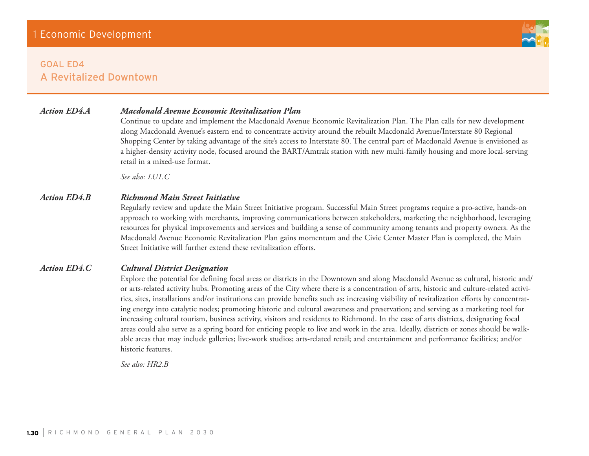# GOAL ED4 a Revitalized Downtown



# *Action ED4.A Macdonald Avenue Economic Revitalization Plan*

Continue to update and implement the Macdonald Avenue Economic Revitalization Plan. The Plan calls for new development along Macdonald Avenue's eastern end to concentrate activity around the rebuilt Macdonald Avenue/Interstate 80 Regional Shopping Center by taking advantage of the site's access to Interstate 80. The central part of Macdonald Avenue is envisioned as a higher-density activity node, focused around the BART/Amtrak station with new multi-family housing and more local-serving retail in a mixed-use format.

*See also: LU1.C*

# *Action ED4.B Richmond Main Street Initiative*

Regularly review and update the Main Street Initiative program. Successful Main Street programs require a pro-active, hands-on approach to working with merchants, improving communications between stakeholders, marketing the neighborhood, leveraging resources for physical improvements and services and building a sense of community among tenants and property owners. As the Macdonald Avenue Economic Revitalization Plan gains momentum and the Civic Center Master Plan is completed, the Main Street Initiative will further extend these revitalization efforts.

# *Action ED4.C Cultural District Designation*

Explore the potential for defining focal areas or districts in the Downtown and along Macdonald Avenue as cultural, historic and/ or arts-related activity hubs. Promoting areas of the City where there is a concentration of arts, historic and culture-related activities, sites, installations and/or institutions can provide benefits such as: increasing visibility of revitalization efforts by concentrating energy into catalytic nodes; promoting historic and cultural awareness and preservation; and serving as a marketing tool for increasing cultural tourism, business activity, visitors and residents to Richmond. In the case of arts districts, designating focal areas could also serve as a spring board for enticing people to live and work in the area. Ideally, districts or zones should be walkable areas that may include galleries; live-work studios; arts-related retail; and entertainment and performance facilities; and/or historic features.

*See also: HR2.B*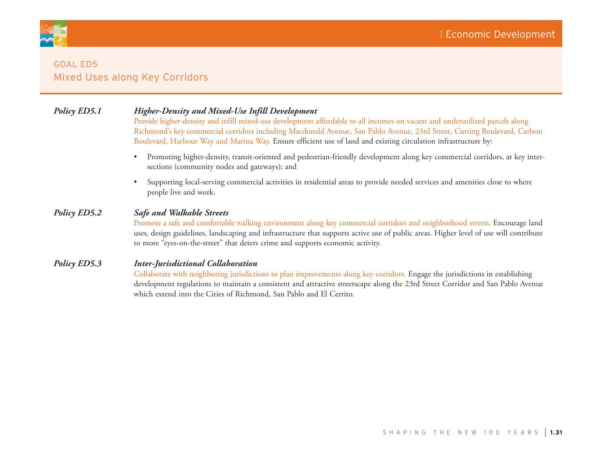

# **GOAL ED5** Mixed Uses along Key Corridors

# *Policy ED5.1 Higher-Density and Mixed-Use Infill Development*

Provide higher-density and infill mixed-use development affordable to all incomes on vacant and underutilized parcels along Richmond's key commercial corridors including Macdonald Avenue, San Pablo Avenue, 23rd Street, Cutting Boulevard, Carlson Boulevard, Harbour Way and Marina Way. Ensure efficient use of land and existing circulation infrastructure by:

- • Promoting higher-density, transit-oriented and pedestrian-friendly development along key commercial corridors, at key intersections (community nodes and gateways); and
- • Supporting local-serving commercial activities in residential areas to provide needed services and amenities close to where people live and work.

# *Policy ED5.2 Safe and Walkable Streets*

Promote a safe and comfortable walking environment along key commercial corridors and neighborhood streets. Encourage land uses, design guidelines, landscaping and infrastructure that supports active use of public areas. Higher level of use will contribute to more "eyes-on-the-street" that deters crime and supports economic activity.

# *Policy ED5.3 Inter-Jurisdictional Collaboration*

Collaborate with neighboring jurisdictions to plan improvements along key corridors. Engage the jurisdictions in establishing development regulations to maintain a consistent and attractive streetscape along the 23rd Street Corridor and San Pablo Avenue which extend into the Cities of Richmond, San Pablo and El Cerrito.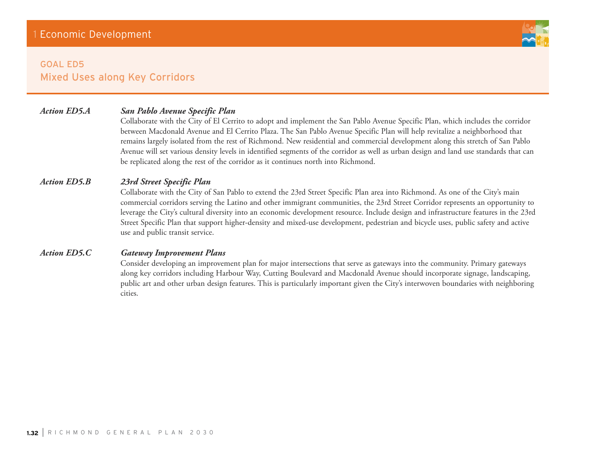

# **GOAL ED5** Mixed Uses along Key Corridors

# *Action ED5.A San Pablo Avenue Specific Plan*

Collaborate with the City of El Cerrito to adopt and implement the San Pablo Avenue Specific Plan, which includes the corridor between Macdonald Avenue and El Cerrito Plaza. The San Pablo Avenue Specific Plan will help revitalize a neighborhood that remains largely isolated from the rest of Richmond. New residential and commercial development along this stretch of San Pablo Avenue will set various density levels in identified segments of the corridor as well as urban design and land use standards that can be replicated along the rest of the corridor as it continues north into Richmond.

# *Action ED5.B 23rd Street Specific Plan*

Collaborate with the City of San Pablo to extend the 23rd Street Specific Plan area into Richmond. As one of the City's main commercial corridors serving the Latino and other immigrant communities, the 23rd Street Corridor represents an opportunity to leverage the City's cultural diversity into an economic development resource. Include design and infrastructure features in the 23rd Street Specific Plan that support higher-density and mixed-use development, pedestrian and bicycle uses, public safety and active use and public transit service.

# *Action ED5.C Gateway Improvement Plans*

Consider developing an improvement plan for major intersections that serve as gateways into the community. Primary gateways along key corridors including Harbour Way, Cutting Boulevard and Macdonald Avenue should incorporate signage, landscaping, public art and other urban design features. This is particularly important given the City's interwoven boundaries with neighboring cities.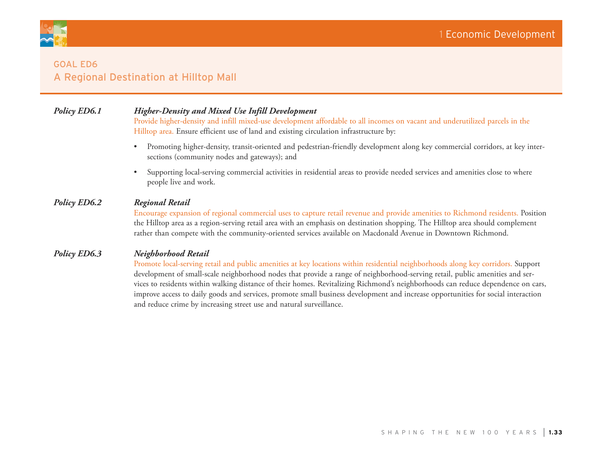

# **GOAL ED6** A Regional Destination at Hilltop Mall

# *Policy ED6.1 Higher-Density and Mixed Use Infill Development*

Provide higher-density and infill mixed-use development affordable to all incomes on vacant and underutilized parcels in the Hilltop area. Ensure efficient use of land and existing circulation infrastructure by:

- • Promoting higher-density, transit-oriented and pedestrian-friendly development along key commercial corridors, at key intersections (community nodes and gateways); and
- Supporting local-serving commercial activities in residential areas to provide needed services and amenities close to where people live and work.

# *Policy ED6.2 Regional Retail*

Encourage expansion of regional commercial uses to capture retail revenue and provide amenities to Richmond residents. Position the Hilltop area as a region-serving retail area with an emphasis on destination shopping. The Hilltop area should complement rather than compete with the community-oriented services available on Macdonald Avenue in Downtown Richmond.

# *Policy ED6.3 Neighborhood Retail*

Promote local-serving retail and public amenities at key locations within residential neighborhoods along key corridors. Support development of small-scale neighborhood nodes that provide a range of neighborhood-serving retail, public amenities and services to residents within walking distance of their homes. Revitalizing Richmond's neighborhoods can reduce dependence on cars, improve access to daily goods and services, promote small business development and increase opportunities for social interaction and reduce crime by increasing street use and natural surveillance.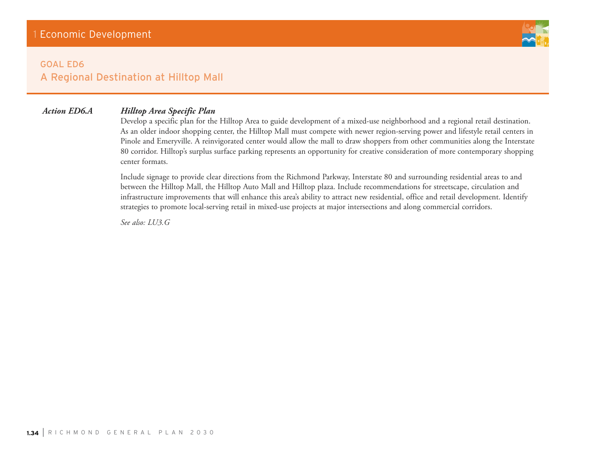

# **GOAL ED6** A Regional Destination at Hilltop Mall

# *Action ED6.A Hilltop Area Specific Plan*

Develop a specific plan for the Hilltop Area to guide development of a mixed-use neighborhood and a regional retail destination. As an older indoor shopping center, the Hilltop Mall must compete with newer region-serving power and lifestyle retail centers in Pinole and Emeryville. A reinvigorated center would allow the mall to draw shoppers from other communities along the Interstate 80 corridor. Hilltop's surplus surface parking represents an opportunity for creative consideration of more contemporary shopping center formats.

Include signage to provide clear directions from the Richmond Parkway, Interstate 80 and surrounding residential areas to and between the Hilltop Mall, the Hilltop Auto Mall and Hilltop plaza. Include recommendations for streetscape, circulation and infrastructure improvements that will enhance this area's ability to attract new residential, office and retail development. Identify strategies to promote local-serving retail in mixed-use projects at major intersections and along commercial corridors.

*See also: LU3.G*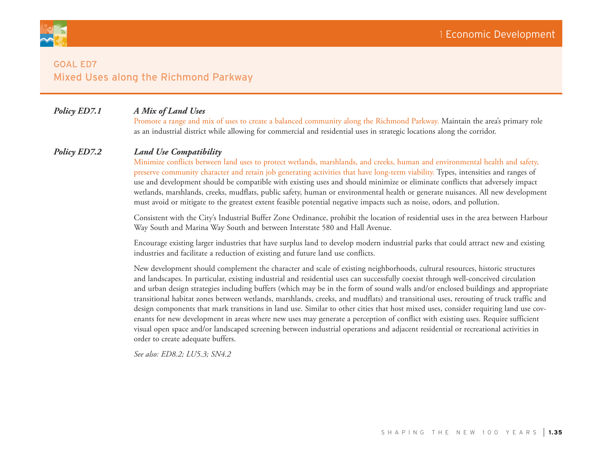

# **GOAL ED7** Mixed Uses along the Richmond Parkway

# *Policy ED7.1 A Mix of Land Uses*

Promote a range and mix of uses to create a balanced community along the Richmond Parkway. Maintain the area's primary role as an industrial district while allowing for commercial and residential uses in strategic locations along the corridor.

# *Policy ED7.2 Land Use Compatibility*

Minimize conflicts between land uses to protect wetlands, marshlands, and creeks, human and environmental health and safety, preserve community character and retain job generating activities that have long-term viability. Types, intensities and ranges of use and development should be compatible with existing uses and should minimize or eliminate conflicts that adversely impact wetlands, marshlands, creeks, mudflats, public safety, human or environmental health or generate nuisances. All new development must avoid or mitigate to the greatest extent feasible potential negative impacts such as noise, odors, and pollution.

Consistent with the City's Industrial Buffer Zone Ordinance, prohibit the location of residential uses in the area between Harbour Way South and Marina Way South and between Interstate 580 and Hall Avenue.

Encourage existing larger industries that have surplus land to develop modern industrial parks that could attract new and existing industries and facilitate a reduction of existing and future land use conflicts.

New development should complement the character and scale of existing neighborhoods, cultural resources, historic structures and landscapes. In particular, existing industrial and residential uses can successfully coexist through well-conceived circulation and urban design strategies including buffers (which may be in the form of sound walls and/or enclosed buildings and appropriate transitional habitat zones between wetlands, marshlands, creeks, and mudflats) and transitional uses, rerouting of truck traffic and design components that mark transitions in land use. Similar to other cities that host mixed uses, consider requiring land use covenants for new development in areas where new uses may generate a perception of conflict with existing uses. Require sufficient visual open space and/or landscaped screening between industrial operations and adjacent residential or recreational activities in order to create adequate buffers.

*See also: ED8.2; LU5.3; SN4.2*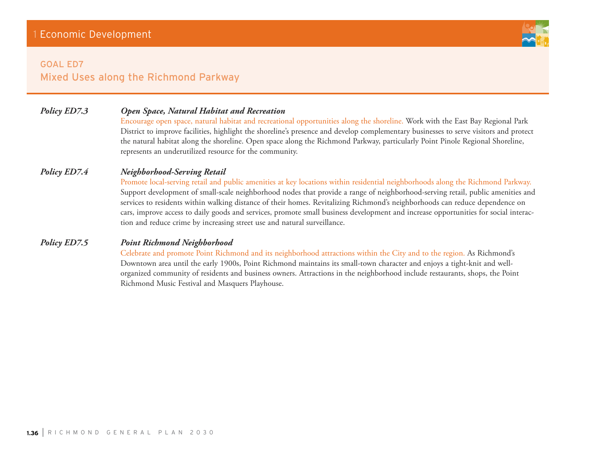# **GOAL ED7** Mixed Uses along the Richmond Parkway

# *Policy ED7.3 Open Space, Natural Habitat and Recreation*

Encourage open space, natural habitat and recreational opportunities along the shoreline. Work with the East Bay Regional Park District to improve facilities, highlight the shoreline's presence and develop complementary businesses to serve visitors and protect the natural habitat along the shoreline. Open space along the Richmond Parkway, particularly Point Pinole Regional Shoreline, represents an underutilized resource for the community.

# *Policy ED7.4 Neighborhood-Serving Retail*

Promote local-serving retail and public amenities at key locations within residential neighborhoods along the Richmond Parkway. Support development of small-scale neighborhood nodes that provide a range of neighborhood-serving retail, public amenities and services to residents within walking distance of their homes. Revitalizing Richmond's neighborhoods can reduce dependence on cars, improve access to daily goods and services, promote small business development and increase opportunities for social interaction and reduce crime by increasing street use and natural surveillance.

# *Policy ED7.5 Point Richmond Neighborhood*

Celebrate and promote Point Richmond and its neighborhood attractions within the City and to the region. As Richmond's Downtown area until the early 1900s, Point Richmond maintains its small-town character and enjoys a tight-knit and wellorganized community of residents and business owners. Attractions in the neighborhood include restaurants, shops, the Point Richmond Music Festival and Masquers Playhouse.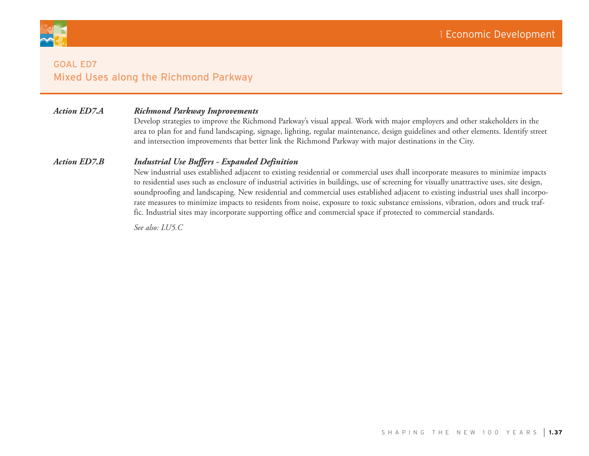

# **GOAL ED7** Mixed Uses along the Richmond Parkway

# *Action ED7.A Richmond Parkway Improvements*

Develop strategies to improve the Richmond Parkway's visual appeal. Work with major employers and other stakeholders in the area to plan for and fund landscaping, signage, lighting, regular maintenance, design guidelines and other elements. Identify street and intersection improvements that better link the Richmond Parkway with major destinations in the City.

## *Action ED7.B Industrial Use Buffers - Expanded Definition*

New industrial uses established adjacent to existing residential or commercial uses shall incorporate measures to minimize impacts to residential uses such as enclosure of industrial activities in buildings, use of screening for visually unattractive uses, site design, soundproofing and landscaping. New residential and commercial uses established adjacent to existing industrial uses shall incorporate measures to minimize impacts to residents from noise, exposure to toxic substance emissions, vibration, odors and truck traffic. Industrial sites may incorporate supporting office and commercial space if protected to commercial standards.

*See also: LU5.C*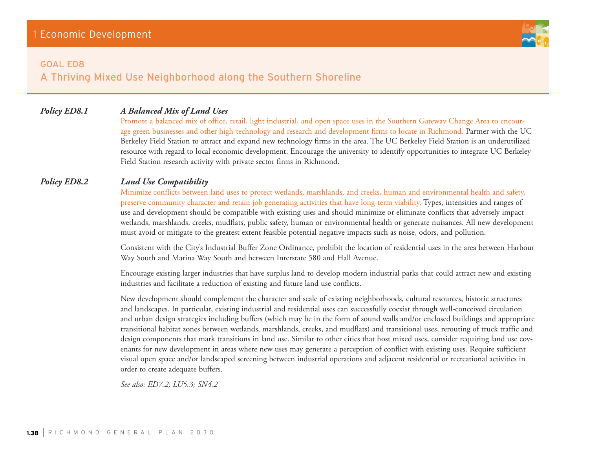#### **GOAL ED8**

A Thriving Mixed Use Neighborhood along the Southern Shoreline

# *Policy ED8.1 A Balanced Mix of Land Uses*

Promote a balanced mix of office, retail, light industrial, and open space uses in the Southern Gateway Change Area to encourage green businesses and other high-technology and research and development firms to locate in Richmond. Partner with the UC Berkeley Field Station to attract and expand new technology firms in the area. The UC Berkeley Field Station is an underutilized resource with regard to local economic development. Encourage the university to identify opportunities to integrate UC Berkeley Field Station research activity with private sector firms in Richmond.

# *Policy ED8.2 Land Use Compatibility*

Minimize conflicts between land uses to protect wetlands, marshlands, and creeks, human and environmental health and safety, preserve community character and retain job generating activities that have long-term viability. Types, intensities and ranges of use and development should be compatible with existing uses and should minimize or eliminate conflicts that adversely impact wetlands, marshlands, creeks, mudflats, public safety, human or environmental health or generate nuisances. All new development must avoid or mitigate to the greatest extent feasible potential negative impacts such as noise, odors, and pollution.

Consistent with the City's Industrial Buffer Zone Ordinance, prohibit the location of residential uses in the area between Harbour Way South and Marina Way South and between Interstate 580 and Hall Avenue.

Encourage existing larger industries that have surplus land to develop modern industrial parks that could attract new and existing industries and facilitate a reduction of existing and future land use conflicts.

New development should complement the character and scale of existing neighborhoods, cultural resources, historic structures and landscapes. In particular, existing industrial and residential uses can successfully coexist through well-conceived circulation and urban design strategies including buffers (which may be in the form of sound walls and/or enclosed buildings and appropriate transitional habitat zones between wetlands, marshlands, creeks, and mudflats) and transitional uses, rerouting of truck traffic and design components that mark transitions in land use. Similar to other cities that host mixed uses, consider requiring land use covenants for new development in areas where new uses may generate a perception of conflict with existing uses. Require sufficient visual open space and/or landscaped screening between industrial operations and adjacent residential or recreational activities in order to create adequate buffers.

*See also: ED7.2; LU5.3; SN4.2*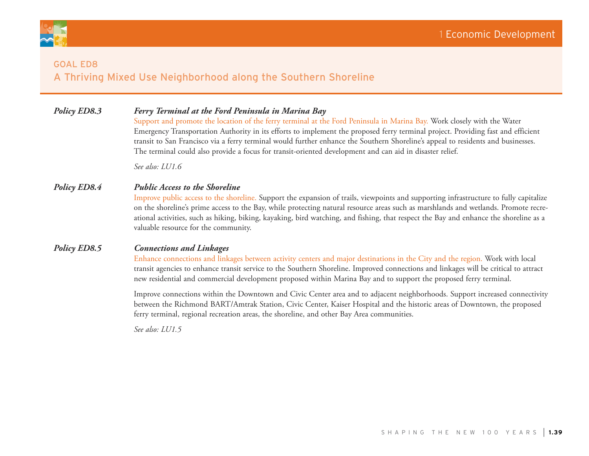



# **GOAL ED8** A Thriving Mixed Use Neighborhood along the Southern Shoreline

# *Policy ED8.3 Ferry Terminal at the Ford Peninsula in Marina Bay*

Support and promote the location of the ferry terminal at the Ford Peninsula in Marina Bay. Work closely with the Water Emergency Transportation Authority in its efforts to implement the proposed ferry terminal project. Providing fast and efficient transit to San Francisco via a ferry terminal would further enhance the Southern Shoreline's appeal to residents and businesses. The terminal could also provide a focus for transit-oriented development and can aid in disaster relief.

*See also: LU1.6*

# *Policy ED8.4 Public Access to the Shoreline*

Improve public access to the shoreline. Support the expansion of trails, viewpoints and supporting infrastructure to fully capitalize on the shoreline's prime access to the Bay, while protecting natural resource areas such as marshlands and wetlands. Promote recreational activities, such as hiking, biking, kayaking, bird watching, and fishing, that respect the Bay and enhance the shoreline as a valuable resource for the community.

# *Policy ED8.5 Connections and Linkages*

Enhance connections and linkages between activity centers and major destinations in the City and the region. Work with local transit agencies to enhance transit service to the Southern Shoreline. Improved connections and linkages will be critical to attract new residential and commercial development proposed within Marina Bay and to support the proposed ferry terminal.

Improve connections within the Downtown and Civic Center area and to adjacent neighborhoods. Support increased connectivity between the Richmond BART/Amtrak Station, Civic Center, Kaiser Hospital and the historic areas of Downtown, the proposed ferry terminal, regional recreation areas, the shoreline, and other Bay Area communities.

*See also: LU1.5*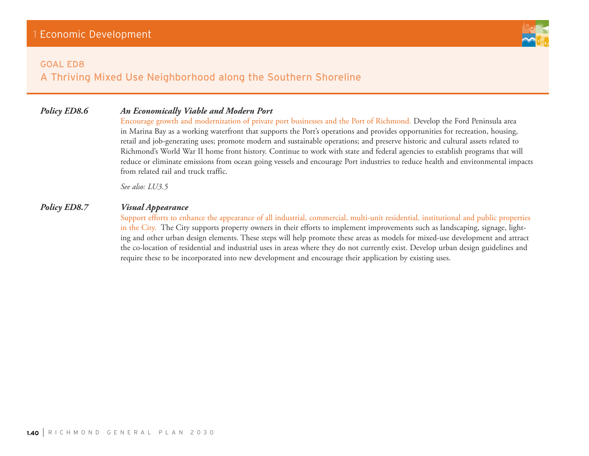#### **GOAL ED8**

A Thriving Mixed Use Neighborhood along the Southern Shoreline

# *Policy ED8.6 An Economically Viable and Modern Port*

Encourage growth and modernization of private port businesses and the Port of Richmond. Develop the Ford Peninsula area in Marina Bay as a working waterfront that supports the Port's operations and provides opportunities for recreation, housing, retail and job-generating uses; promote modern and sustainable operations; and preserve historic and cultural assets related to Richmond's World War II home front history. Continue to work with state and federal agencies to establish programs that will reduce or eliminate emissions from ocean going vessels and encourage Port industries to reduce health and environmental impacts from related rail and truck traffic.

*See also: LU3.5*

# *Policy ED8.7 Visual Appearance*

Support efforts to enhance the appearance of all industrial, commercial, multi-unit residential, institutional and public properties in the City. The City supports property owners in their efforts to implement improvements such as landscaping, signage, lighting and other urban design elements. These steps will help promote these areas as models for mixed-use development and attract the co-location of residential and industrial uses in areas where they do not currently exist. Develop urban design guidelines and require these to be incorporated into new development and encourage their application by existing uses.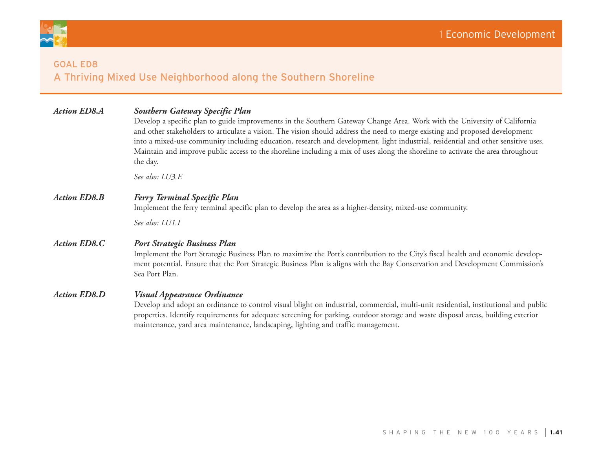

# **GOAL ED8** A Thriving Mixed Use Neighborhood along the Southern Shoreline

| <b>Action ED8.A</b> | <b>Southern Gateway Specific Plan</b><br>Develop a specific plan to guide improvements in the Southern Gateway Change Area. Work with the University of California<br>and other stakeholders to articulate a vision. The vision should address the need to merge existing and proposed development<br>into a mixed-use community including education, research and development, light industrial, residential and other sensitive uses.<br>Maintain and improve public access to the shoreline including a mix of uses along the shoreline to activate the area throughout<br>the day. |
|---------------------|----------------------------------------------------------------------------------------------------------------------------------------------------------------------------------------------------------------------------------------------------------------------------------------------------------------------------------------------------------------------------------------------------------------------------------------------------------------------------------------------------------------------------------------------------------------------------------------|
|                     | See also: LU3.E                                                                                                                                                                                                                                                                                                                                                                                                                                                                                                                                                                        |
| <b>Action ED8.B</b> | <b>Ferry Terminal Specific Plan</b><br>Implement the ferry terminal specific plan to develop the area as a higher-density, mixed-use community.                                                                                                                                                                                                                                                                                                                                                                                                                                        |
|                     | See also: LU1.I                                                                                                                                                                                                                                                                                                                                                                                                                                                                                                                                                                        |
| <b>Action ED8.C</b> | <b>Port Strategic Business Plan</b><br>Implement the Port Strategic Business Plan to maximize the Port's contribution to the City's fiscal health and economic develop-<br>ment potential. Ensure that the Port Strategic Business Plan is aligns with the Bay Conservation and Development Commission's<br>Sea Port Plan.                                                                                                                                                                                                                                                             |
| <b>Action ED8.D</b> | <b>Visual Appearance Ordinance</b><br>Develop and adopt an ordinance to control visual blight on industrial, commercial, multi-unit residential, institutional and public<br>properties. Identify requirements for adequate screening for parking, outdoor storage and waste disposal areas, building exterior<br>maintenance, yard area maintenance, landscaping, lighting and traffic management.                                                                                                                                                                                    |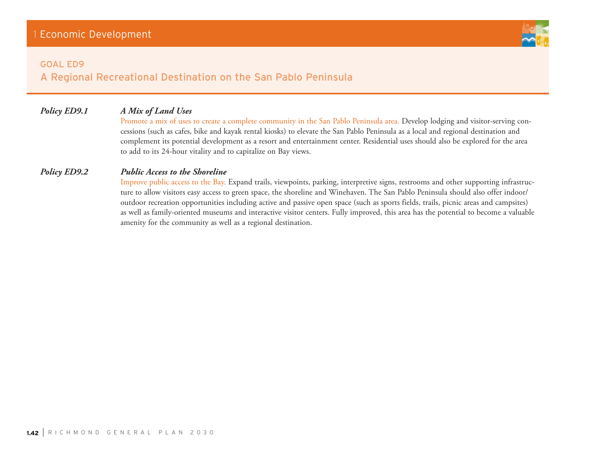#### **GOAL ED9**

# A Regional Recreational Destination on the San Pablo Peninsula

# *Policy ED9.1 A Mix of Land Uses*

Promote a mix of uses to create a complete community in the San Pablo Peninsula area. Develop lodging and visitor-serving concessions (such as cafes, bike and kayak rental kiosks) to elevate the San Pablo Peninsula as a local and regional destination and complement its potential development as a resort and entertainment center. Residential uses should also be explored for the area to add to its 24-hour vitality and to capitalize on Bay views.

# *Policy ED9.2 Public Access to the Shoreline*

Improve public access to the Bay. Expand trails, viewpoints, parking, interpretive signs, restrooms and other supporting infrastructure to allow visitors easy access to green space, the shoreline and Winehaven. The San Pablo Peninsula should also offer indoor/ outdoor recreation opportunities including active and passive open space (such as sports fields, trails, picnic areas and campsites) as well as family-oriented museums and interactive visitor centers. Fully improved, this area has the potential to become a valuable amenity for the community as well as a regional destination.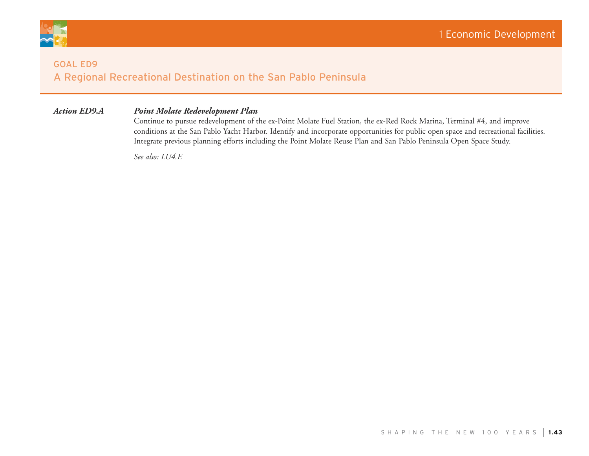

# **GOAL ED9** A Regional Recreational Destination on the San Pablo Peninsula

# *Action ED9.A Point Molate Redevelopment Plan*

Continue to pursue redevelopment of the ex-Point Molate Fuel Station, the ex-Red Rock Marina, Terminal #4, and improve conditions at the San Pablo Yacht Harbor. Identify and incorporate opportunities for public open space and recreational facilities. Integrate previous planning efforts including the Point Molate Reuse Plan and San Pablo Peninsula Open Space Study.

*See also: LU4.E*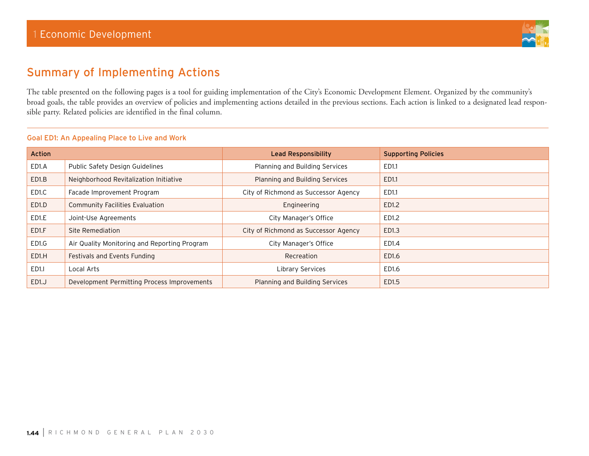

# Summary of Implementing Actions

The table presented on the following pages is a tool for guiding implementation of the City's Economic Development Element. Organized by the community's broad goals, the table provides an overview of policies and implementing actions detailed in the previous sections. Each action is linked to a designated lead responsible party. Related policies are identified in the final column.

| <b>Action</b>      |                                              | Lead Responsibility                  | <b>Supporting Policies</b> |
|--------------------|----------------------------------------------|--------------------------------------|----------------------------|
| ED1.A              | Public Safety Design Guidelines              | Planning and Building Services       | ED1.1                      |
| ED <sub>1.B</sub>  | Neighborhood Revitalization Initiative       | Planning and Building Services       | ED1.1                      |
| ED1.C              | Facade Improvement Program                   | City of Richmond as Successor Agency | ED1.1                      |
| ED <sub>1</sub> .D | <b>Community Facilities Evaluation</b>       | Engineering                          | ED1.2                      |
| ED1.E              | Joint-Use Agreements                         | City Manager's Office                | ED1.2                      |
| ED1.F              | Site Remediation                             | City of Richmond as Successor Agency | ED1.3                      |
| ED1.G              | Air Quality Monitoring and Reporting Program | City Manager's Office                | ED1.4                      |
| ED <sub>1</sub> H  | Festivals and Events Funding                 | Recreation                           | ED1.6                      |
| ED <sub>1</sub> .  | Local Arts                                   | Library Services                     | ED1.6                      |
| ED1.J              | Development Permitting Process Improvements  | Planning and Building Services       | ED1.5                      |

#### Goal ED1: An Appealing Place to Live and Work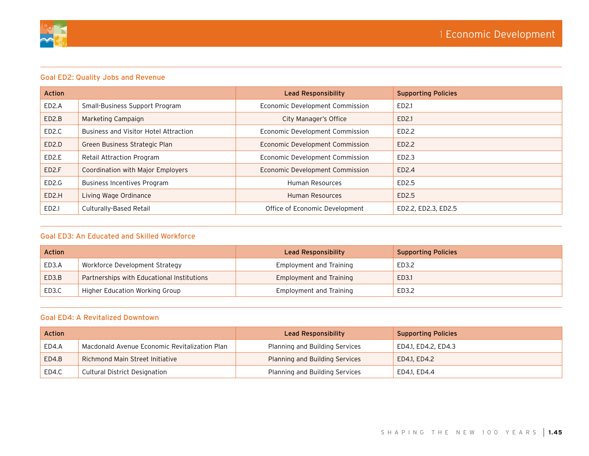

| <b>Action</b>      |                                       | <b>Lead Responsibility</b>      | <b>Supporting Policies</b> |
|--------------------|---------------------------------------|---------------------------------|----------------------------|
| ED2.A              | Small-Business Support Program        | Economic Development Commission | ED2.1                      |
| ED <sub>2</sub> .B | Marketing Campaign                    | City Manager's Office           | ED2.1                      |
| ED <sub>2</sub> .C | Business and Visitor Hotel Attraction | Economic Development Commission | ED2.2                      |
| ED <sub>2</sub> .D | Green Business Strategic Plan         | Economic Development Commission | ED2.2                      |
| ED <sub>2</sub> .E | Retail Attraction Program             | Economic Development Commission | ED2.3                      |
| ED <sub>2</sub> .F | Coordination with Major Employers     | Economic Development Commission | ED2.4                      |
| ED <sub>2</sub> .G | Business Incentives Program           | Human Resources                 | ED2.5                      |
| ED <sub>2</sub> .H | Living Wage Ordinance                 | <b>Human Resources</b>          | ED2.5                      |
| ED <sub>2.1</sub>  | Culturally-Based Retail               | Office of Economic Development  | ED2.2, ED2.3, ED2.5        |

# Goal ED3: An Educated and Skilled Workforce

| <b>Action</b> |                                            | Lead Responsibility            | <b>Supporting Policies</b> |
|---------------|--------------------------------------------|--------------------------------|----------------------------|
| ED3.A         | Workforce Development Strategy             | Employment and Training        | ED3.2                      |
| ED3.B         | Partnerships with Educational Institutions | <b>Employment and Training</b> | ED3.1                      |
| ED3.C         | Higher Education Working Group             | Employment and Training        | ED3.2                      |

## Goal ED4: A Revitalized Downtown

| <b>Action</b> |                                               | Lead Responsibility            | <b>Supporting Policies</b> |
|---------------|-----------------------------------------------|--------------------------------|----------------------------|
| ED4.A         | Macdonald Avenue Economic Revitalization Plan | Planning and Building Services | ED4.1, ED4.2, ED4.3        |
| ED4.B         | Richmond Main Street Initiative               | Planning and Building Services | ED4.1, ED4.2               |
| ED4.C         | Cultural District Designation                 | Planning and Building Services | ED4.1, ED4.4               |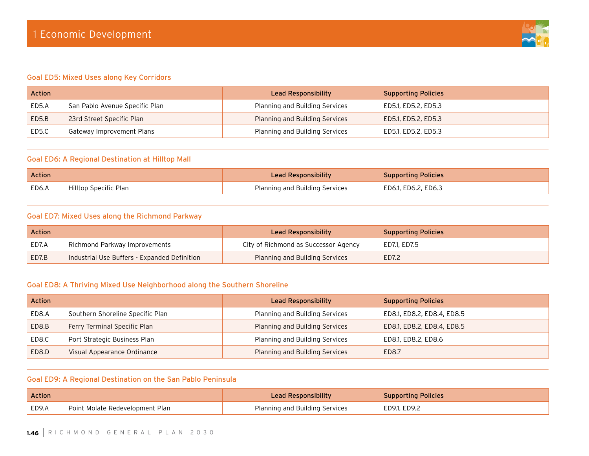

#### Goal ED5: Mixed Uses along Key Corridors

| Action |                                | Lead Responsibility            | <b>Supporting Policies</b> |
|--------|--------------------------------|--------------------------------|----------------------------|
| ED5.A  | San Pablo Avenue Specific Plan | Planning and Building Services | ED5.1, ED5.2, ED5.3        |
| ED5.B  | 23rd Street Specific Plan      | Planning and Building Services | ED5.1, ED5.2, ED5.3        |
| ED5.C  | Gateway Improvement Plans      | Planning and Building Services | ED5.1, ED5.2, ED5.3        |

#### Goal ED6: A Regional Destination at Hilltop Mall

| Action |                       | Lead Responsibility            | <b>Supporting Policies</b> |
|--------|-----------------------|--------------------------------|----------------------------|
| ED6.A  | Hilltop Specific Plan | Planning and Building Services | ED6.1, ED6.2, ED6.3        |

# Goal ED7: Mixed Uses along the Richmond Parkway

| <b>Action</b> |                                              | Lead Responsibility                   | <b>Supporting Policies</b> |
|---------------|----------------------------------------------|---------------------------------------|----------------------------|
| ED7.A         | Richmond Parkway Improvements                | City of Richmond as Successor Agency  | ED7.1, ED7.5               |
| ED7.B         | Industrial Use Buffers - Expanded Definition | <b>Planning and Building Services</b> | ED7.2                      |

# Goal ED8: A Thriving Mixed Use Neighborhood along the Southern Shoreline

| <b>Action</b> |                                  | Lead Responsibility            | <b>Supporting Policies</b> |
|---------------|----------------------------------|--------------------------------|----------------------------|
| ED8.A         | Southern Shoreline Specific Plan | Planning and Building Services | ED8.1, ED8.2, ED8.4, ED8.5 |
| ED8.B         | Ferry Terminal Specific Plan     | Planning and Building Services | ED8.1, ED8.2, ED8.4, ED8.5 |
| ED8.C         | Port Strategic Business Plan     | Planning and Building Services | ED8.1, ED8.2, ED8.6        |
| ED8.D         | Visual Appearance Ordinance      | Planning and Building Services | ED8.7                      |

# Goal ED9: A Regional Destination on the San Pablo Peninsula

| Action |                                 | Lead Responsibility            | <b>Supporting Policies</b> |
|--------|---------------------------------|--------------------------------|----------------------------|
| ED9.A  | Point Molate Redevelopment Plan | Planning and Building Services | ED9.1, ED9.2               |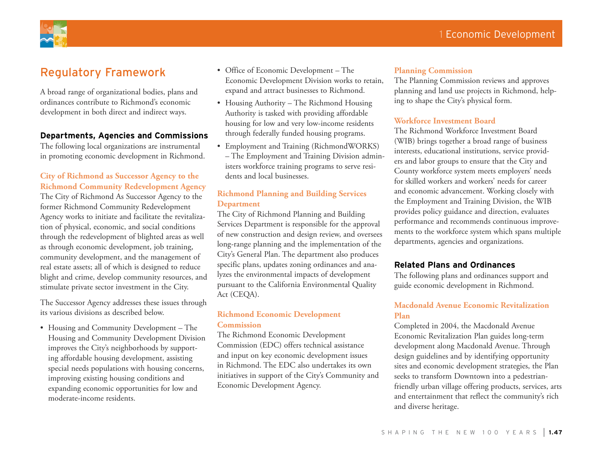

# Regulatory Framework

A broad range of organizational bodies, plans and ordinances contribute to Richmond's economic development in both direct and indirect ways.

## **Departments, Agencies and Commissions**

The following local organizations are instrumental in promoting economic development in Richmond.

# **City of Richmond as Successor Agency to the Richmond Community Redevelopment Agency**  The City of Richmond As Successor Agency to the former Richmond Community Redevelopment Agency works to initiate and facilitate the revitalization of physical, economic, and social conditions through the redevelopment of blighted areas as well as through economic development, job training, community development, and the management of real estate assets; all of which is designed to reduce blight and crime, develop community resources, and stimulate private sector investment in the City.

The Successor Agency addresses these issues through its various divisions as described below.

• Housing and Community Development – The Housing and Community Development Division improves the City's neighborhoods by supporting affordable housing development, assisting special needs populations with housing concerns, improving existing housing conditions and expanding economic opportunities for low and moderate-income residents.

- • Office of Economic Development The Economic Development Division works to retain, expand and attract businesses to Richmond.
- Housing Authority The Richmond Housing Authority is tasked with providing affordable housing for low and very low-income residents through federally funded housing programs.
- • Employment and Training (RichmondWORKS) – The Employment and Training Division administers workforce training programs to serve residents and local businesses.

# **Richmond Planning and Building Services Department**

The City of Richmond Planning and Building Services Department is responsible for the approval of new construction and design review, and oversees long-range planning and the implementation of the City's General Plan. The department also produces specific plans, updates zoning ordinances and analyzes the environmental impacts of development pursuant to the California Environmental Quality Act (CEQA).

# **Richmond Economic Development Commission**

The Richmond Economic Development Commission (EDC) offers technical assistance and input on key economic development issues in Richmond. The EDC also undertakes its own initiatives in support of the City's Community and Economic Development Agency.

## **Planning Commission**

The Planning Commission reviews and approves planning and land use projects in Richmond, helping to shape the City's physical form.

#### **Workforce Investment Board**

The Richmond Workforce Investment Board (WIB) brings together a broad range of business interests, educational institutions, service providers and labor groups to ensure that the City and County workforce system meets employers' needs for skilled workers and workers' needs for career and economic advancement. Working closely with the Employment and Training Division, the WIB provides policy guidance and direction, evaluates performance and recommends continuous improvements to the workforce system which spans multiple departments, agencies and organizations.

## **Related Plans and Ordinances**

The following plans and ordinances support and guide economic development in Richmond.

# **Macdonald Avenue Economic Revitalization Plan**

Completed in 2004, the Macdonald Avenue Economic Revitalization Plan guides long-term development along Macdonald Avenue. Through design guidelines and by identifying opportunity sites and economic development strategies, the Plan seeks to transform Downtown into a pedestrianfriendly urban village offering products, services, arts and entertainment that reflect the community's rich and diverse heritage.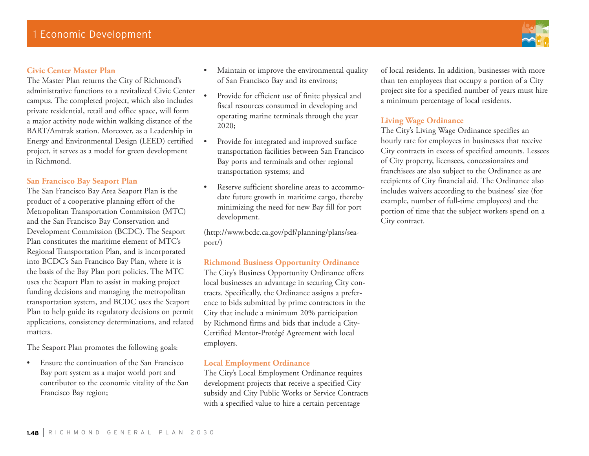# **Civic Center Master Plan**

The Master Plan returns the City of Richmond's administrative functions to a revitalized Civic Center campus. The completed project, which also includes private residential, retail and office space, will form a major activity node within walking distance of the BART/Amtrak station. Moreover, as a Leadership in Energy and Environmental Design (LEED) certified project, it serves as a model for green development in Richmond.

# **San Francisco Bay Seaport Plan**

The San Francisco Bay Area Seaport Plan is the product of a cooperative planning effort of the Metropolitan Transportation Commission (MTC) and the San Francisco Bay Conservation and Development Commission (BCDC). The Seaport Plan constitutes the maritime element of MTC's Regional Transportation Plan, and is incorporated into BCDC's San Francisco Bay Plan, where it is the basis of the Bay Plan port policies. The MTC uses the Seaport Plan to assist in making project funding decisions and managing the metropolitan transportation system, and BCDC uses the Seaport Plan to help guide its regulatory decisions on permit applications, consistency determinations, and related matters.

The Seaport Plan promotes the following goals:

Ensure the continuation of the San Francisco Bay port system as a major world port and contributor to the economic vitality of the San Francisco Bay region;

- Maintain or improve the environmental quality of San Francisco Bay and its environs;
- • Provide for efficient use of finite physical and fiscal resources consumed in developing and operating marine terminals through the year 2020;
- Provide for integrated and improved surface transportation facilities between San Francisco Bay ports and terminals and other regional transportation systems; and
- Reserve sufficient shoreline areas to accommodate future growth in maritime cargo, thereby minimizing the need for new Bay fill for port development.

(http://www.bcdc.ca.gov/pdf/planning/plans/seaport/)

# **Richmond Business Opportunity Ordinance**

The City's Business Opportunity Ordinance offers local businesses an advantage in securing City contracts. Specifically, the Ordinance assigns a preference to bids submitted by prime contractors in the City that include a minimum 20% participation by Richmond firms and bids that include a City-Certified Mentor-Protégé Agreement with local employers.

# **Local Employment Ordinance**

The City's Local Employment Ordinance requires development projects that receive a specified City subsidy and City Public Works or Service Contracts with a specified value to hire a certain percentage

of local residents. In addition, businesses with more than ten employees that occupy a portion of a City project site for a specified number of years must hire a minimum percentage of local residents.

## **Living Wage Ordinance**

The City's Living Wage Ordinance specifies an hourly rate for employees in businesses that receive City contracts in excess of specified amounts. Lessees of City property, licensees, concessionaires and franchisees are also subject to the Ordinance as are recipients of City financial aid. The Ordinance also includes waivers according to the business' size (for example, number of full-time employees) and the portion of time that the subject workers spend on a City contract.

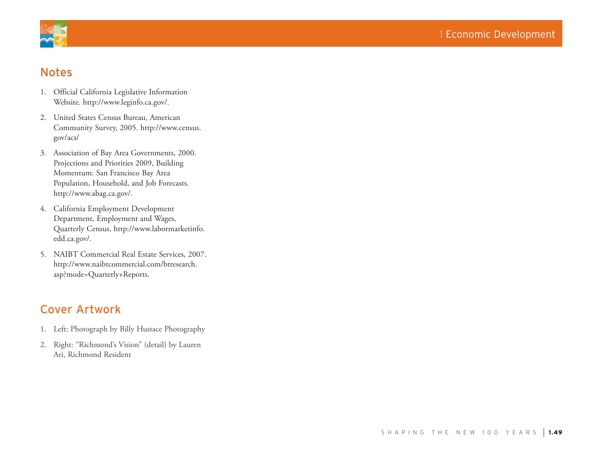



# Notes

- 1. Official California Legislative Information Website. http://www.leginfo.ca.gov/.
- 2. United States Census Bureau, American Community Survey, 2005. http://www.census. gov/acs/
- 3. Association of Bay Area Governments, 2000. Projections and Priorities 2009, Building Momentum: San Francisco Bay Area Population, Household, and Job Forecasts. http://www.abag.ca.gov/.
- 4. California Employment Development Department, Employment and Wages, Quarterly Census, http://www.labormarketinfo. edd.ca.gov/.
- 5. NAIBT Commercial Real Estate Services, 2007. http://www.naibtcommercial.com/btresearch. asp?mode=Quarterly+Reports.

# Cover Artwork

- 1. Left: Photograph by Billy Hustace Photography
- 2. Right: "Richmond's Vision" (detail) by Lauren Ari, Richmond Resident